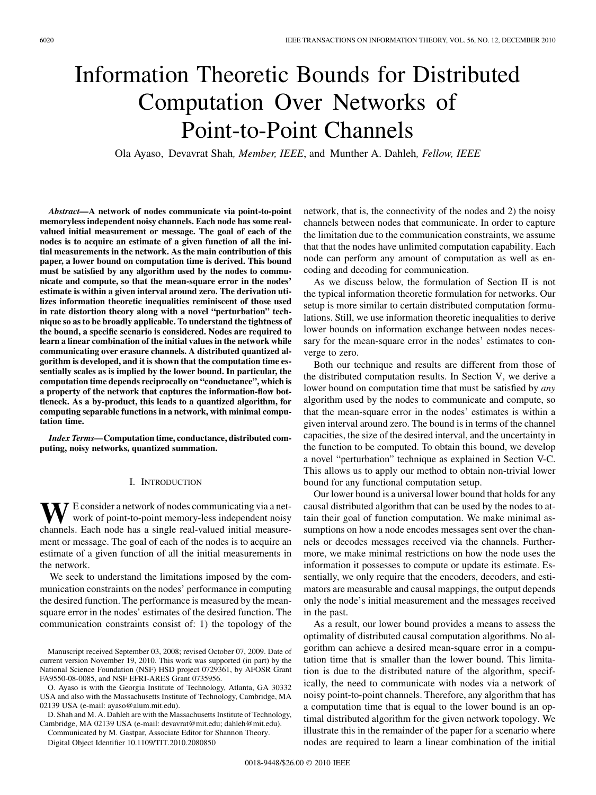# Information Theoretic Bounds for Distributed Computation Over Networks of Point-to-Point Channels

Ola Ayaso, Devavrat Shah*, Member, IEEE*, and Munther A. Dahleh*, Fellow, IEEE*

*Abstract—***A network of nodes communicate via point-to-point memoryless independent noisy channels. Each node has some realvalued initial measurement or message. The goal of each of the nodes is to acquire an estimate of a given function of all the initial measurements in the network. As the main contribution of this paper, a lower bound on computation time is derived. This bound must be satisfied by any algorithm used by the nodes to communicate and compute, so that the mean-square error in the nodes' estimate is within a given interval around zero. The derivation utilizes information theoretic inequalities reminiscent of those used in rate distortion theory along with a novel "perturbation" technique so as to be broadly applicable. To understand the tightness of the bound, a specific scenario is considered. Nodes are required to learn a linear combination of the initial values in the network while communicating over erasure channels. A distributed quantized algorithm is developed, and it is shown that the computation time essentially scales as is implied by the lower bound. In particular, the computation time depends reciprocally on "conductance", which is a property of the network that captures the information-flow bottleneck. As a by-product, this leads to a quantized algorithm, for computing separable functions in a network, with minimal computation time.**

*Index Terms—***Computation time, conductance, distributed computing, noisy networks, quantized summation.**

## I. INTRODUCTION

**V**E consider a network of nodes communicating via a network of point-to-point memory-less independent noisy channels. Each node has a single real-valued initial measurement or message. The goal of each of the nodes is to acquire an estimate of a given function of all the initial measurements in the network.

We seek to understand the limitations imposed by the communication constraints on the nodes' performance in computing the desired function. The performance is measured by the meansquare error in the nodes' estimates of the desired function. The communication constraints consist of: 1) the topology of the

network, that is, the connectivity of the nodes and 2) the noisy channels between nodes that communicate. In order to capture the limitation due to the communication constraints, we assume that that the nodes have unlimited computation capability. Each node can perform any amount of computation as well as encoding and decoding for communication.

As we discuss below, the formulation of Section II is not the typical information theoretic formulation for networks. Our setup is more similar to certain distributed computation formulations. Still, we use information theoretic inequalities to derive lower bounds on information exchange between nodes necessary for the mean-square error in the nodes' estimates to converge to zero.

Both our technique and results are different from those of the distributed computation results. In Section V, we derive a lower bound on computation time that must be satisfied by *any* algorithm used by the nodes to communicate and compute, so that the mean-square error in the nodes' estimates is within a given interval around zero. The bound is in terms of the channel capacities, the size of the desired interval, and the uncertainty in the function to be computed. To obtain this bound, we develop a novel "perturbation" technique as explained in Section V-C. This allows us to apply our method to obtain non-trivial lower bound for any functional computation setup.

Our lower bound is a universal lower bound that holds for any causal distributed algorithm that can be used by the nodes to attain their goal of function computation. We make minimal assumptions on how a node encodes messages sent over the channels or decodes messages received via the channels. Furthermore, we make minimal restrictions on how the node uses the information it possesses to compute or update its estimate. Essentially, we only require that the encoders, decoders, and estimators are measurable and causal mappings, the output depends only the node's initial measurement and the messages received in the past.

As a result, our lower bound provides a means to assess the optimality of distributed causal computation algorithms. No algorithm can achieve a desired mean-square error in a computation time that is smaller than the lower bound. This limitation is due to the distributed nature of the algorithm, specifically, the need to communicate with nodes via a network of noisy point-to-point channels. Therefore, any algorithm that has a computation time that is equal to the lower bound is an optimal distributed algorithm for the given network topology. We illustrate this in the remainder of the paper for a scenario where nodes are required to learn a linear combination of the initial

Manuscript received September 03, 2008; revised October 07, 2009. Date of current version November 19, 2010. This work was supported (in part) by the National Science Foundation (NSF) HSD project 0729361, by AFOSR Grant FA9550-08-0085, and NSF EFRI-ARES Grant 0735956.

O. Ayaso is with the Georgia Institute of Technology, Atlanta, GA 30332 USA and also with the Massachusetts Institute of Technology, Cambridge, MA 02139 USA (e-mail: ayaso@alum.mit.edu).

D. Shah and M. A. Dahleh are with the Massachusetts Institute of Technology, Cambridge, MA 02139 USA (e-mail: devavrat@mit.edu; dahleh@mit.edu).

Communicated by M. Gastpar, Associate Editor for Shannon Theory. Digital Object Identifier 10.1109/TIT.2010.2080850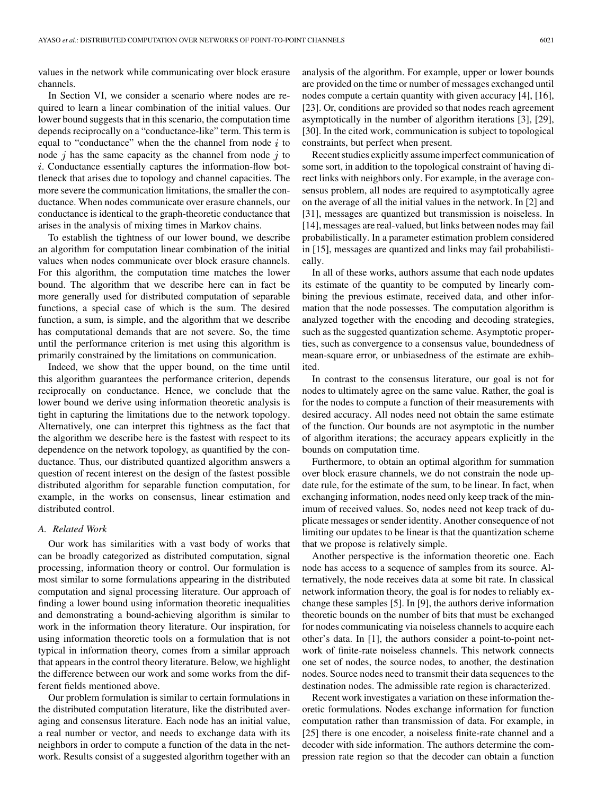values in the network while communicating over block erasure channels.

In Section VI, we consider a scenario where nodes are required to learn a linear combination of the initial values. Our lower bound suggests that in this scenario, the computation time depends reciprocally on a "conductance-like" term. This term is equal to "conductance" when the the channel from node  $i$  to node  $j$  has the same capacity as the channel from node  $j$  to . Conductance essentially captures the information-flow bottleneck that arises due to topology and channel capacities. The more severe the communication limitations, the smaller the conductance. When nodes communicate over erasure channels, our conductance is identical to the graph-theoretic conductance that arises in the analysis of mixing times in Markov chains.

To establish the tightness of our lower bound, we describe an algorithm for computation linear combination of the initial values when nodes communicate over block erasure channels. For this algorithm, the computation time matches the lower bound. The algorithm that we describe here can in fact be more generally used for distributed computation of separable functions, a special case of which is the sum. The desired function, a sum, is simple, and the algorithm that we describe has computational demands that are not severe. So, the time until the performance criterion is met using this algorithm is primarily constrained by the limitations on communication.

Indeed, we show that the upper bound, on the time until this algorithm guarantees the performance criterion, depends reciprocally on conductance. Hence, we conclude that the lower bound we derive using information theoretic analysis is tight in capturing the limitations due to the network topology. Alternatively, one can interpret this tightness as the fact that the algorithm we describe here is the fastest with respect to its dependence on the network topology, as quantified by the conductance. Thus, our distributed quantized algorithm answers a question of recent interest on the design of the fastest possible distributed algorithm for separable function computation, for example, in the works on consensus, linear estimation and distributed control.

# *A. Related Work*

Our work has similarities with a vast body of works that can be broadly categorized as distributed computation, signal processing, information theory or control. Our formulation is most similar to some formulations appearing in the distributed computation and signal processing literature. Our approach of finding a lower bound using information theoretic inequalities and demonstrating a bound-achieving algorithm is similar to work in the information theory literature. Our inspiration, for using information theoretic tools on a formulation that is not typical in information theory, comes from a similar approach that appears in the control theory literature. Below, we highlight the difference between our work and some works from the different fields mentioned above.

Our problem formulation is similar to certain formulations in the distributed computation literature, like the distributed averaging and consensus literature. Each node has an initial value, a real number or vector, and needs to exchange data with its neighbors in order to compute a function of the data in the network. Results consist of a suggested algorithm together with an

analysis of the algorithm. For example, upper or lower bounds are provided on the time or number of messages exchanged until nodes compute a certain quantity with given accuracy [4], [16], [23]. Or, conditions are provided so that nodes reach agreement asymptotically in the number of algorithm iterations [3], [29], [30]. In the cited work, communication is subject to topological constraints, but perfect when present.

Recent studies explicitly assume imperfect communication of some sort, in addition to the topological constraint of having direct links with neighbors only. For example, in the average consensus problem, all nodes are required to asymptotically agree on the average of all the initial values in the network. In [2] and [31], messages are quantized but transmission is noiseless. In [14], messages are real-valued, but links between nodes may fail probabilistically. In a parameter estimation problem considered in [15], messages are quantized and links may fail probabilistically.

In all of these works, authors assume that each node updates its estimate of the quantity to be computed by linearly combining the previous estimate, received data, and other information that the node possesses. The computation algorithm is analyzed together with the encoding and decoding strategies, such as the suggested quantization scheme. Asymptotic properties, such as convergence to a consensus value, boundedness of mean-square error, or unbiasedness of the estimate are exhibited.

In contrast to the consensus literature, our goal is not for nodes to ultimately agree on the same value. Rather, the goal is for the nodes to compute a function of their measurements with desired accuracy. All nodes need not obtain the same estimate of the function. Our bounds are not asymptotic in the number of algorithm iterations; the accuracy appears explicitly in the bounds on computation time.

Furthermore, to obtain an optimal algorithm for summation over block erasure channels, we do not constrain the node update rule, for the estimate of the sum, to be linear. In fact, when exchanging information, nodes need only keep track of the minimum of received values. So, nodes need not keep track of duplicate messages or sender identity. Another consequence of not limiting our updates to be linear is that the quantization scheme that we propose is relatively simple.

Another perspective is the information theoretic one. Each node has access to a sequence of samples from its source. Alternatively, the node receives data at some bit rate. In classical network information theory, the goal is for nodes to reliably exchange these samples [5]. In [9], the authors derive information theoretic bounds on the number of bits that must be exchanged for nodes communicating via noiseless channels to acquire each other's data. In [1], the authors consider a point-to-point network of finite-rate noiseless channels. This network connects one set of nodes, the source nodes, to another, the destination nodes. Source nodes need to transmit their data sequences to the destination nodes. The admissible rate region is characterized.

Recent work investigates a variation on these information theoretic formulations. Nodes exchange information for function computation rather than transmission of data. For example, in [25] there is one encoder, a noiseless finite-rate channel and a decoder with side information. The authors determine the compression rate region so that the decoder can obtain a function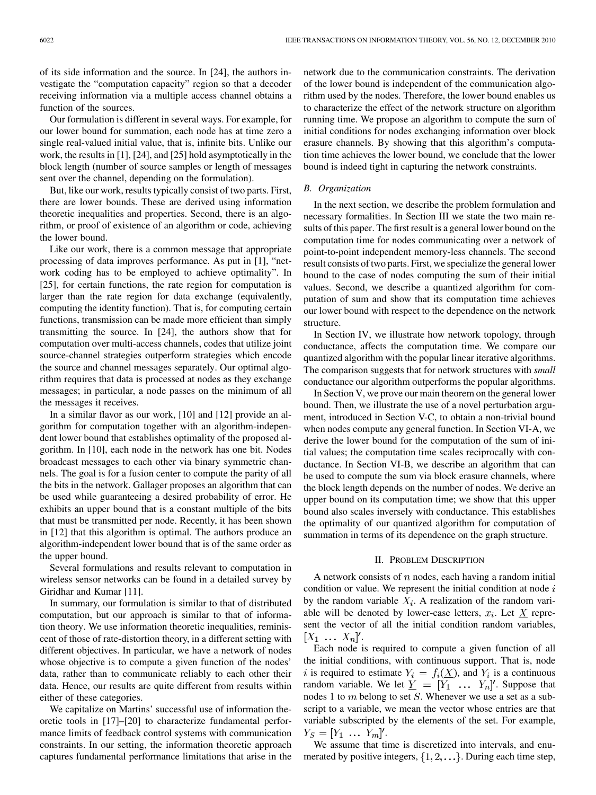of its side information and the source. In [24], the authors investigate the "computation capacity" region so that a decoder receiving information via a multiple access channel obtains a function of the sources.

Our formulation is different in several ways. For example, for our lower bound for summation, each node has at time zero a single real-valued initial value, that is, infinite bits. Unlike our work, the results in [1], [24], and [25] hold asymptotically in the block length (number of source samples or length of messages sent over the channel, depending on the formulation).

But, like our work, results typically consist of two parts. First, there are lower bounds. These are derived using information theoretic inequalities and properties. Second, there is an algorithm, or proof of existence of an algorithm or code, achieving the lower bound.

Like our work, there is a common message that appropriate processing of data improves performance. As put in [1], "network coding has to be employed to achieve optimality". In [25], for certain functions, the rate region for computation is larger than the rate region for data exchange (equivalently, computing the identity function). That is, for computing certain functions, transmission can be made more efficient than simply transmitting the source. In [24], the authors show that for computation over multi-access channels, codes that utilize joint source-channel strategies outperform strategies which encode the source and channel messages separately. Our optimal algorithm requires that data is processed at nodes as they exchange messages; in particular, a node passes on the minimum of all the messages it receives.

In a similar flavor as our work, [10] and [12] provide an algorithm for computation together with an algorithm-independent lower bound that establishes optimality of the proposed algorithm. In [10], each node in the network has one bit. Nodes broadcast messages to each other via binary symmetric channels. The goal is for a fusion center to compute the parity of all the bits in the network. Gallager proposes an algorithm that can be used while guaranteeing a desired probability of error. He exhibits an upper bound that is a constant multiple of the bits that must be transmitted per node. Recently, it has been shown in [12] that this algorithm is optimal. The authors produce an algorithm-independent lower bound that is of the same order as the upper bound.

Several formulations and results relevant to computation in wireless sensor networks can be found in a detailed survey by Giridhar and Kumar [11].

In summary, our formulation is similar to that of distributed computation, but our approach is similar to that of information theory. We use information theoretic inequalities, reminiscent of those of rate-distortion theory, in a different setting with different objectives. In particular, we have a network of nodes whose objective is to compute a given function of the nodes' data, rather than to communicate reliably to each other their data. Hence, our results are quite different from results within either of these categories.

We capitalize on Martins' successful use of information theoretic tools in [17]–[20] to characterize fundamental performance limits of feedback control systems with communication constraints. In our setting, the information theoretic approach captures fundamental performance limitations that arise in the

network due to the communication constraints. The derivation of the lower bound is independent of the communication algorithm used by the nodes. Therefore, the lower bound enables us to characterize the effect of the network structure on algorithm running time. We propose an algorithm to compute the sum of initial conditions for nodes exchanging information over block erasure channels. By showing that this algorithm's computation time achieves the lower bound, we conclude that the lower bound is indeed tight in capturing the network constraints.

## *B. Organization*

In the next section, we describe the problem formulation and necessary formalities. In Section III we state the two main results of this paper. The first result is a general lower bound on the computation time for nodes communicating over a network of point-to-point independent memory-less channels. The second result consists of two parts. First, we specialize the general lower bound to the case of nodes computing the sum of their initial values. Second, we describe a quantized algorithm for computation of sum and show that its computation time achieves our lower bound with respect to the dependence on the network structure.

In Section IV, we illustrate how network topology, through conductance, affects the computation time. We compare our quantized algorithm with the popular linear iterative algorithms. The comparison suggests that for network structures with *small* conductance our algorithm outperforms the popular algorithms.

In Section V, we prove our main theorem on the general lower bound. Then, we illustrate the use of a novel perturbation argument, introduced in Section V-C, to obtain a non-trivial bound when nodes compute any general function. In Section VI-A, we derive the lower bound for the computation of the sum of initial values; the computation time scales reciprocally with conductance. In Section VI-B, we describe an algorithm that can be used to compute the sum via block erasure channels, where the block length depends on the number of nodes. We derive an upper bound on its computation time; we show that this upper bound also scales inversely with conductance. This establishes the optimality of our quantized algorithm for computation of summation in terms of its dependence on the graph structure.

#### II. PROBLEM DESCRIPTION

A network consists of  $n$  nodes, each having a random initial condition or value. We represent the initial condition at node  $i$ by the random variable  $X_i$ . A realization of the random variable will be denoted by lower-case letters,  $x_i$ . Let  $\underline{X}$  represent the vector of all the initial condition random variables,  $[X_1 \ldots X_n]'$ .

Each node is required to compute a given function of all the initial conditions, with continuous support. That is, node i is required to estimate  $Y_i = f_i(\underline{X})$ , and  $Y_i$  is a continuous random variable. We let  $\underline{Y} = [Y_1 \dots Y_n]'$ . Suppose that nodes 1 to  $m$  belong to set  $S$ . Whenever we use a set as a subscript to a variable, we mean the vector whose entries are that variable subscripted by the elements of the set. For example,  $Y_S = [Y_1 \dots Y_m]'.$ 

We assume that time is discretized into intervals, and enumerated by positive integers,  $\{1, 2, \ldots\}$ . During each time step,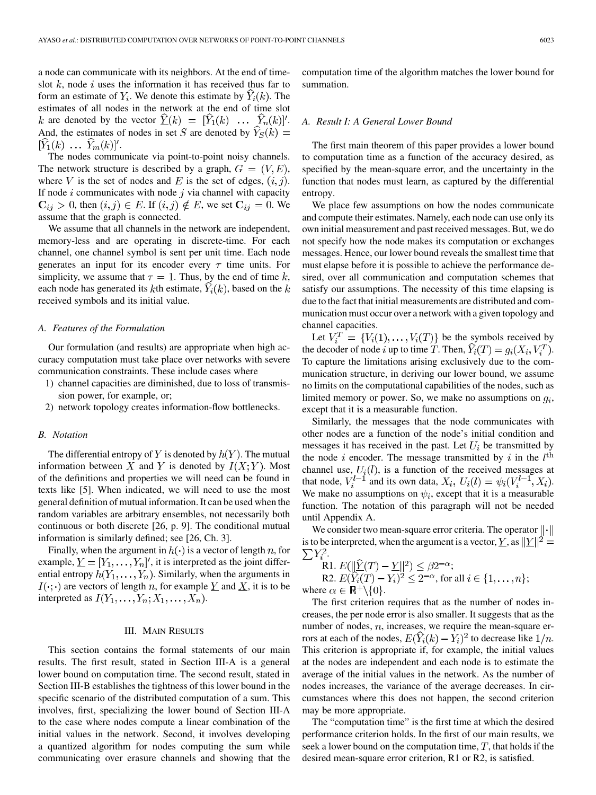a node can communicate with its neighbors. At the end of timeslot  $k$ , node i uses the information it has received thus far to form an estimate of  $Y_i$ . We denote this estimate by  $\hat{Y}_i(k)$ . The estimates of all nodes in the network at the end of time slot k are denoted by the vector  $\hat{Y}(k) = [\hat{Y}_1(k) \dots \hat{Y}_n(k)]'$ . And, the estimates of nodes in set S are denoted by  $\hat{Y}_S(k)$  =  $[\hat{Y}_1(k) \dots \hat{Y}_m(k)]'.$ 

The nodes communicate via point-to-point noisy channels. The network structure is described by a graph,  $G = (V, E)$ , where V is the set of nodes and E is the set of edges,  $(i, j)$ . If node  $i$  communicates with node  $j$  via channel with capacity  $C_{ij} > 0$ , then  $(i, j) \in E$ . If  $(i, j) \notin E$ , we set  $C_{ij} = 0$ . We assume that the graph is connected.

We assume that all channels in the network are independent, memory-less and are operating in discrete-time. For each channel, one channel symbol is sent per unit time. Each node generates an input for its encoder every  $\tau$  time units. For simplicity, we assume that  $\tau = 1$ . Thus, by the end of time k, each node has generated its kth estimate,  $Y_i(k)$ , based on the k received symbols and its initial value.

#### *A. Features of the Formulation*

Our formulation (and results) are appropriate when high accuracy computation must take place over networks with severe communication constraints. These include cases where

- 1) channel capacities are diminished, due to loss of transmission power, for example, or;
- 2) network topology creates information-flow bottlenecks.

# *B. Notation*

The differential entropy of Y is denoted by  $h(Y)$ . The mutual information between X and Y is denoted by  $I(X;Y)$ . Most of the definitions and properties we will need can be found in texts like [5]. When indicated, we will need to use the most general definition of mutual information. It can be used when the random variables are arbitrary ensembles, not necessarily both continuous or both discrete [26, p. 9]. The conditional mutual information is similarly defined; see [26, Ch. 3].

Finally, when the argument in  $h(\cdot)$  is a vector of length n, for example,  $\underline{Y} = [Y_1, \ldots, Y_n]'$ , it is interpreted as the joint differential entropy  $h(Y_1, \ldots, Y_n)$ . Similarly, when the arguments in  $I(\cdot; \cdot)$  are vectors of length n, for example Y and X, it is to be interpreted as  $I(Y_1, \ldots, Y_n; X_1, \ldots, X_n)$ .

# III. MAIN RESULTS

This section contains the formal statements of our main results. The first result, stated in Section III-A is a general lower bound on computation time. The second result, stated in Section III-B establishes the tightness of this lower bound in the specific scenario of the distributed computation of a sum. This involves, first, specializing the lower bound of Section III-A to the case where nodes compute a linear combination of the initial values in the network. Second, it involves developing a quantized algorithm for nodes computing the sum while communicating over erasure channels and showing that the

computation time of the algorithm matches the lower bound for summation.

# *A. Result I: A General Lower Bound*

The first main theorem of this paper provides a lower bound to computation time as a function of the accuracy desired, as specified by the mean-square error, and the uncertainty in the function that nodes must learn, as captured by the differential entropy.

We place few assumptions on how the nodes communicate and compute their estimates. Namely, each node can use only its own initial measurement and past received messages. But, we do not specify how the node makes its computation or exchanges messages. Hence, our lower bound reveals the smallest time that must elapse before it is possible to achieve the performance desired, over all communication and computation schemes that satisfy our assumptions. The necessity of this time elapsing is due to the fact that initial measurements are distributed and communication must occur over a network with a given topology and channel capacities.

Let  $V_i^T = \{V_i(1), \ldots, V_i(T)\}\$ be the symbols received by the decoder of node i up to time T. Then,  $\hat{Y}_i(T) = g_i(X_i, V_i^T)$ . To capture the limitations arising exclusively due to the communication structure, in deriving our lower bound, we assume no limits on the computational capabilities of the nodes, such as limited memory or power. So, we make no assumptions on  $g_i$ , except that it is a measurable function.

Similarly, the messages that the node communicates with other nodes are a function of the node's initial condition and messages it has received in the past. Let  $U_i$  be transmitted by the node i encoder. The message transmitted by i in the  $l<sup>th</sup>$ channel use,  $U_i(l)$ , is a function of the received messages at that node,  $V_i^{l-1}$  and its own data,  $X_i$ ,  $U_i(l) = \psi_i(V_i^{l-1}, X_i)$ . We make no assumptions on  $\psi_i$ , except that it is a measurable function. The notation of this paragraph will not be needed until Appendix A.

We consider two mean-square error criteria. The operator  $\|\cdot\|$ is to be interpreted, when the argument is a vector,  $\overline{Y}$ , as  $||\overline{Y}||^2 =$  $\sum Y_i^2$ .

R1. 
$$
E(||\hat{Y}(T) - Y||^2) \le \beta 2^{-\alpha};
$$

R2.  $E(Y_i(T) - Y_i)^2 \leq 2^{-\alpha}$ , for all  $i \in \{1, ..., n\}$ ; where  $\alpha \in \mathbb{R}^+\backslash \{0\}$ .

The first criterion requires that as the number of nodes increases, the per node error is also smaller. It suggests that as the number of nodes,  $n$ , increases, we require the mean-square errors at each of the nodes,  $E(Y_i(k) - Y_i)^2$  to decrease like  $1/n$ . This criterion is appropriate if, for example, the initial values at the nodes are independent and each node is to estimate the average of the initial values in the network. As the number of nodes increases, the variance of the average decreases. In circumstances where this does not happen, the second criterion may be more appropriate.

The "computation time" is the first time at which the desired performance criterion holds. In the first of our main results, we seek a lower bound on the computation time,  $T$ , that holds if the desired mean-square error criterion, R1 or R2, is satisfied.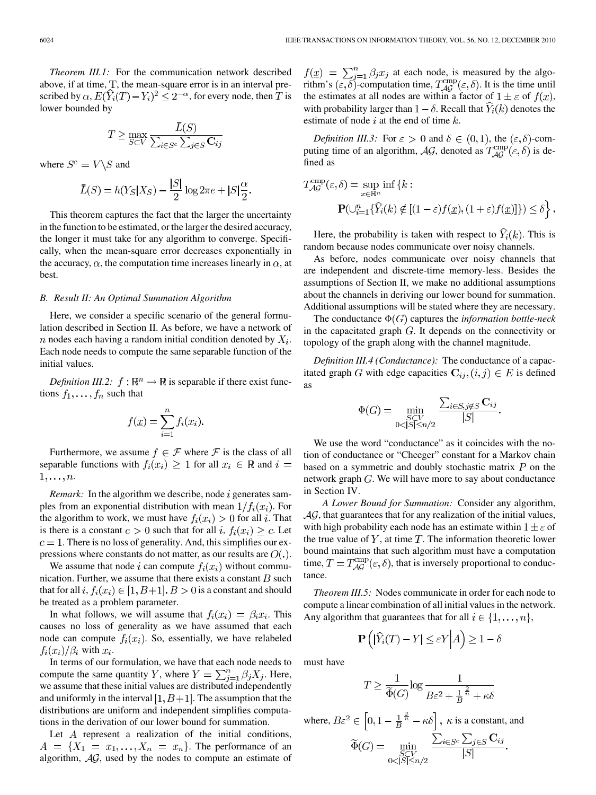*Theorem III.1:* For the communication network described above, if at time,  $T$ , the mean-square error is in an interval prescribed by  $\alpha$ ,  $E(\hat{Y}_i(T) - Y_i)^2 \leq 2^{-\alpha}$ , for every node, then T is lower bounded by

$$
T \ge \max_{S \subset V} \frac{\bar{L}(S)}{\sum_{i \in S^c} \sum_{j \in S} \mathbf{C}_{ij}}
$$

where  $S^c = V \ S$  and

$$
\bar{L}(S) = h(Y_S|X_S) - \frac{|S|}{2} \log 2\pi e + |S| \frac{\alpha}{2}.
$$

This theorem captures the fact that the larger the uncertainty in the function to be estimated, or the larger the desired accuracy, the longer it must take for any algorithm to converge. Specifically, when the mean-square error decreases exponentially in the accuracy,  $\alpha$ , the computation time increases linearly in  $\alpha$ , at best.

#### *B. Result II: An Optimal Summation Algorithm*

Here, we consider a specific scenario of the general formulation described in Section II. As before, we have a network of n nodes each having a random initial condition denoted by  $X_i$ . Each node needs to compute the same separable function of the initial values.

*Definition III.2:*  $f : \mathbb{R}^n \to \mathbb{R}$  is separable if there exist functions  $f_1, \ldots, f_n$  such that

$$
f(\underline{x}) = \sum_{i=1}^{n} f_i(x_i).
$$

Furthermore, we assume  $f \in \mathcal{F}$  where  $\mathcal{F}$  is the class of all separable functions with  $f_i(x_i) \geq 1$  for all  $x_i \in \mathbb{R}$  and  $i =$  $1, \ldots, n$ .

*Remark:* In the algorithm we describe, node  $i$  generates samples from an exponential distribution with mean  $1/f_i(x_i)$ . For the algorithm to work, we must have  $f_i(x_i) > 0$  for all i. That is there is a constant  $c > 0$  such that for all i,  $f_i(x_i) \geq c$ . Let  $c = 1$ . There is no loss of generality. And, this simplifies our expressions where constants do not matter, as our results are  $O(.)$ .

We assume that node i can compute  $f_i(x_i)$  without communication. Further, we assume that there exists a constant  $B$  such that for all  $i, f_i(x_i) \in [1, B+1]$ .  $B > 0$  is a constant and should be treated as a problem parameter.

In what follows, we will assume that  $f_i(x_i) = \beta_i x_i$ . This causes no loss of generality as we have assumed that each node can compute  $f_i(x_i)$ . So, essentially, we have relabeled  $f_i(x_i)/\beta_i$  with  $x_i$ .

In terms of our formulation, we have that each node needs to compute the same quantity Y, where  $Y = \sum_{j=1}^{n} \beta_j X_j$ . Here, we assume that these initial values are distributed independently and uniformly in the interval  $[1, B+1]$ . The assumption that the distributions are uniform and independent simplifies computations in the derivation of our lower bound for summation.

Let  $A$  represent a realization of the initial conditions,  $A = \{X_1 = x_1, \ldots, X_n = x_n\}.$  The performance of an algorithm,  $AG$ , used by the nodes to compute an estimate of

at each node, is measured by the algorithm's  $(\varepsilon, \delta)$ -computation time,  $T_{AG}^{\text{cmp}}(\varepsilon, \delta)$ . It is the time until the estimates at all nodes are within a factor of  $1 \pm \varepsilon$  of  $f(\underline{x})$ , with probability larger than  $1 - \delta$ . Recall that  $Y_i(k)$  denotes the estimate of node  $i$  at the end of time  $k$ .

*Definition III.3:* For  $\varepsilon > 0$  and  $\delta \in (0,1)$ , the  $(\varepsilon, \delta)$ -computing time of an algorithm,  $AG$ , denoted as  $T_{AG}^{cmp}(\varepsilon, \delta)$  is defined as

$$
T_{\mathcal{AG}}^{\text{cmp}}(\varepsilon,\delta) = \sup_{x \in \mathbb{R}^n} \inf \left\{ k : \\ \mathbf{P}(\cup_{i=1}^n \{\hat{Y}_i(k) \notin [(1-\varepsilon)f(\underline{x}), (1+\varepsilon)f(\underline{x})]\}) \le \delta \right\}.
$$

Here, the probability is taken with respect to  $\hat{Y}_i(k)$ . This is random because nodes communicate over noisy channels.

As before, nodes communicate over noisy channels that are independent and discrete-time memory-less. Besides the assumptions of Section II, we make no additional assumptions about the channels in deriving our lower bound for summation. Additional assumptions will be stated where they are necessary.

The conductance  $\Phi(G)$  captures the *information bottle-neck* in the capacitated graph  $G$ . It depends on the connectivity or topology of the graph along with the channel magnitude.

*Definition III.4 (Conductance):* The conductance of a capacitated graph G with edge capacities  $C_{ij}$ ,  $(i, j) \in E$  is defined as

$$
\Phi(G) = \min_{\substack{S \subset V \\ 0 < |S| \le n/2}} \frac{\sum_{i \in S, j \notin S} \mathbf{C}_{ij}}{|S|}
$$

We use the word "conductance" as it coincides with the notion of conductance or "Cheeger" constant for a Markov chain based on a symmetric and doubly stochastic matrix  $P$  on the network graph  $G$ . We will have more to say about conductance in Section IV.

*A Lower Bound for Summation:* Consider any algorithm,  $\mathcal{AG}$ , that guarantees that for any realization of the initial values, with high probability each node has an estimate within  $1 \pm \varepsilon$  of the true value of  $Y$ , at time  $T$ . The information theoretic lower bound maintains that such algorithm must have a computation time,  $T = T_{AG}^{\text{cmp}}(\varepsilon, \delta)$ , that is inversely proportional to conductance

*Theorem III.5:* Nodes communicate in order for each node to compute a linear combination of all initial values in the network. Any algorithm that guarantees that for all  $i \in \{1, \ldots, n\}$ ,

$$
\mathbf{P}\left(|\widehat{Y}_i(T) - Y| \le \varepsilon Y | A\right) \ge 1 - \delta
$$

must have

$$
T \ge \frac{1}{\widetilde{\Phi}(G)} \log \frac{1}{B\varepsilon^2 + \frac{1}{B}\pi^2} + \kappa \delta
$$

where,  $B\varepsilon^2 \in \left[0, 1 - \frac{1}{B}^{\frac{2}{n}} - \kappa \delta\right]$ ,  $\kappa$  is a constant, and<br>  $\widetilde{\Phi}(G) = \min_{\substack{S \subseteq V \\ 0 < |S| \le n/2}} \frac{\sum_{i \in S^c} \sum_{j \in S} \mathbf{C}_{ij}}{|S|}.$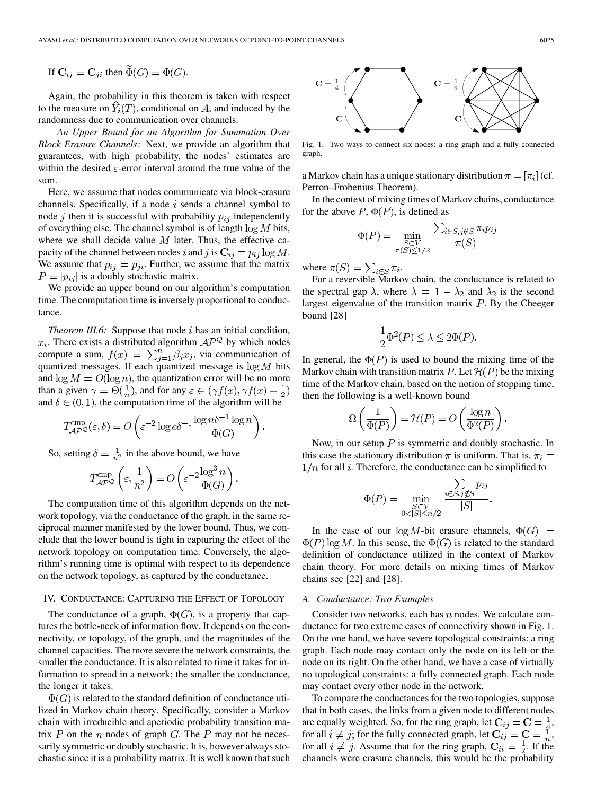If  $\mathbf{C}_{ij} = \mathbf{C}_{ji}$  then  $\widetilde{\Phi}(G) = \Phi(G)$ .

Again, the probability in this theorem is taken with respect to the measure on  $Y_i(T)$ , conditional on A, and induced by the randomness due to communication over channels.

*An Upper Bound for an Algorithm for Summation Over Block Erasure Channels:* Next, we provide an algorithm that guarantees, with high probability, the nodes' estimates are within the desired  $\varepsilon$ -error interval around the true value of the sum.

Here, we assume that nodes communicate via block-erasure channels. Specifically, if a node  $i$  sends a channel symbol to node j then it is successful with probability  $p_{ij}$  independently of everything else. The channel symbol is of length  $\log M$  bits, where we shall decide value  $M$  later. Thus, the effective capacity of the channel between nodes i and j is  $C_{ij} = p_{ij} \log M$ . We assume that  $p_{ij} = p_{ji}$ . Further, we assume that the matrix  $P=[p_{ij}]$  is a doubly stochastic matrix.

We provide an upper bound on our algorithm's computation time. The computation time is inversely proportional to conductance.

*Theorem III.6:* Suppose that node  $i$  has an initial condition,  $x_i$ . There exists a distributed algorithm  $AP^{\mathcal{Q}}$  by which nodes compute a sum,  $f(\underline{x}) = \sum_{j=1}^{n} \beta_j x_j$ , via communication of quantized messages. If each quantized message is  $\log M$  bits and  $\log M = O(\log n)$ , the quantization error will be no more than a given  $\gamma = \Theta(\frac{1}{n})$ , and for any  $\varepsilon \in (\gamma f(\underline{x}), \gamma f(\underline{x}) + \frac{1}{2})$ and  $\delta \in (0, 1)$ , the computation time of the algorithm will be

$$
T_{\mathcal{A}\mathcal{P}^{\mathcal{Q}}}^{\text{cmp}}(\varepsilon,\delta) = O\left(\varepsilon^{-2}\log e\delta^{-1}\frac{\log n\delta^{-1}\log n}{\Phi(G)}\right).
$$

So, setting  $\delta = \frac{1}{n^2}$  in the above bound, we have

$$
T_{\mathcal{A}\mathcal{P}^{\mathcal{Q}}}^{\text{cmp}}\left(\varepsilon,\frac{1}{n^2}\right) = O\left(\varepsilon^{-2}\frac{\log^3 n}{\Phi(G)}\right).
$$

The computation time of this algorithm depends on the network topology, via the conductance of the graph, in the same reciprocal manner manifested by the lower bound. Thus, we conclude that the lower bound is tight in capturing the effect of the network topology on computation time. Conversely, the algorithm's running time is optimal with respect to its dependence on the network topology, as captured by the conductance.

#### IV. CONDUCTANCE: CAPTURING THE EFFECT OF TOPOLOGY

The conductance of a graph,  $\Phi(G)$ , is a property that captures the bottle-neck of information flow. It depends on the connectivity, or topology, of the graph, and the magnitudes of the channel capacities. The more severe the network constraints, the smaller the conductance. It is also related to time it takes for information to spread in a network; the smaller the conductance, the longer it takes.

 $\Phi(G)$  is related to the standard definition of conductance utilized in Markov chain theory. Specifically, consider a Markov chain with irreducible and aperiodic probability transition matrix  $P$  on the  $n$  nodes of graph  $G$ . The  $P$  may not be necessarily symmetric or doubly stochastic. It is, however always stochastic since it is a probability matrix. It is well known that such



Fig. 1. Two ways to connect six nodes: a ring graph and a fully connected graph.

a Markov chain has a unique stationary distribution  $\pi = [\pi_i]$  (cf. Perron–Frobenius Theorem).

In the context of mixing times of Markov chains, conductance for the above  $P$ ,  $\Phi(P)$ , is defined as

$$
\Phi(P) = \min_{\substack{S \subset V \\ \pi(S) \le 1/2}} \frac{\sum_{i \in S, j \notin S} \pi_i p_{ij}}{\pi(S)}
$$

where  $\pi(S) = \sum_{i \in S} \pi_i$ .

For a reversible Markov chain, the conductance is related to the spectral gap  $\lambda$ , where  $\lambda = 1 - \lambda_2$  and  $\lambda_2$  is the second largest eigenvalue of the transition matrix  $P$ . By the Cheeger bound [28]

$$
\frac{1}{2}\Phi^2(P) \le \lambda \le 2\Phi(P).
$$

In general, the  $\Phi(P)$  is used to bound the mixing time of the Markov chain with transition matrix P. Let  $H(P)$  be the mixing time of the Markov chain, based on the notion of stopping time, then the following is a well-known bound

$$
\Omega\left(\frac{1}{\Phi(P)}\right) = \mathcal{H}(P) = O\left(\frac{\log n}{\Phi^2(P)}\right)
$$

Now, in our setup  $P$  is symmetric and doubly stochastic. In this case the stationary distribution  $\pi$  is uniform. That is,  $\pi_i =$  $1/n$  for all i. Therefore, the conductance can be simplified to

$$
\Phi(P) = \min_{\substack{S \subset V \\ 0 < |S| \le n/2}} \frac{\sum_{i \in S, j \notin S} p_{ij}}{|S|}.
$$

In the case of our  $\log M$ -bit erasure channels,  $\Phi(G)$  =  $\Phi(P)$  log M. In this sense, the  $\Phi(G)$  is related to the standard definition of conductance utilized in the context of Markov chain theory. For more details on mixing times of Markov chains see [22] and [28].

#### *A. Conductance: Two Examples*

Consider two networks, each has  $n$  nodes. We calculate conductance for two extreme cases of connectivity shown in Fig. 1. On the one hand, we have severe topological constraints: a ring graph. Each node may contact only the node on its left or the node on its right. On the other hand, we have a case of virtually no topological constraints: a fully connected graph. Each node may contact every other node in the network.

To compare the conductances for the two topologies, suppose that in both cases, the links from a given node to different nodes are equally weighted. So, for the ring graph, let  $C_{ij} = C = \frac{1}{4}$ , for all  $i \neq j$ ; for the fully connected graph, let  $\mathbf{C}_{ij} = \mathbf{C} = \frac{1}{n}$ for all  $i \neq j$ . Assume that for the ring graph,  $C_{ii} = \frac{1}{2}$ . If the channels were erasure channels, this would be the probability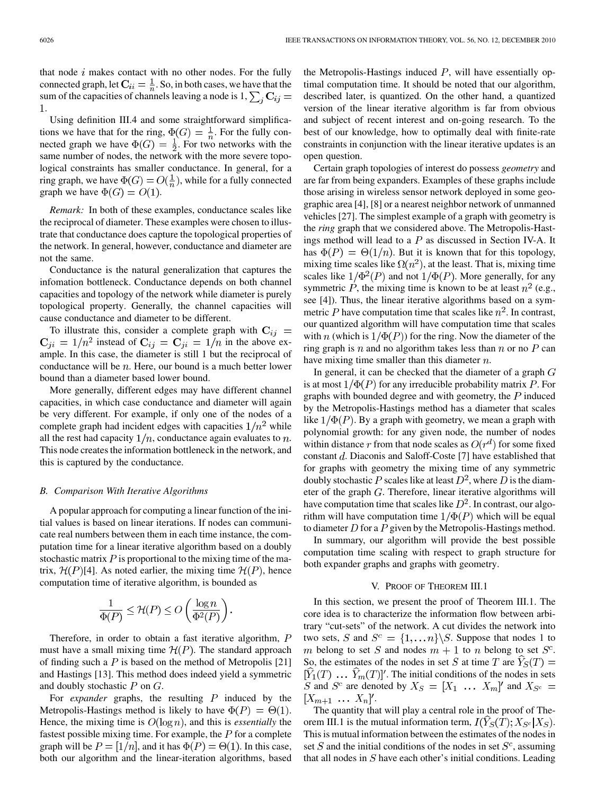that node  $i$  makes contact with no other nodes. For the fully connected graph, let  $C_{ii} = \frac{1}{n}$ . So, in both cases, we have that the sum of the capacities of channels leaving a node is 1, .

Using definition III.4 and some straightforward simplifications we have that for the ring,  $\Phi(G) = \frac{1}{n}$ . For the fully connected graph we have  $\Phi(G) = \frac{1}{2}$ . For two networks with the same number of nodes, the network with the more severe topological constraints has smaller conductance. In general, for a ring graph, we have  $\Phi(G) = O(\frac{1}{n})$ , while for a fully connected graph we have  $\Phi(G) = O(1)$ .

*Remark:* In both of these examples, conductance scales like the reciprocal of diameter. These examples were chosen to illustrate that conductance does capture the topological properties of the network. In general, however, conductance and diameter are not the same.

Conductance is the natural generalization that captures the infomation bottleneck. Conductance depends on both channel capacities and topology of the network while diameter is purely topological property. Generally, the channel capacities will cause conductance and diameter to be different.

To illustrate this, consider a complete graph with  $C_{ij}$  =  $\mathbf{C}_{ii} = 1/n^2$  instead of  $\mathbf{C}_{ij} = \mathbf{C}_{ii} = 1/n$  in the above example. In this case, the diameter is still 1 but the reciprocal of conductance will be  $n$ . Here, our bound is a much better lower bound than a diameter based lower bound.

More generally, different edges may have different channel capacities, in which case conductance and diameter will again be very different. For example, if only one of the nodes of a complete graph had incident edges with capacities  $1/n^2$  while all the rest had capacity  $1/n$ , conductance again evaluates to n. This node creates the information bottleneck in the network, and this is captured by the conductance.

## *B. Comparison With Iterative Algorithms*

A popular approach for computing a linear function of the initial values is based on linear iterations. If nodes can communicate real numbers between them in each time instance, the computation time for a linear iterative algorithm based on a doubly stochastic matrix  $P$  is proportional to the mixing time of the matrix,  $\mathcal{H}(P)$ [4]. As noted earlier, the mixing time  $\mathcal{H}(P)$ , hence computation time of iterative algorithm, is bounded as

$$
\frac{1}{\Phi(P)} \le \mathcal{H}(P) \le O\left(\frac{\log n}{\Phi^2(P)}\right).
$$

Therefore, in order to obtain a fast iterative algorithm,  $P$ must have a small mixing time  $H(P)$ . The standard approach of finding such a  $P$  is based on the method of Metropolis [21] and Hastings [13]. This method does indeed yield a symmetric and doubly stochastic  $P$  on  $G$ .

For *expander* graphs, the resulting  $P$  induced by the Metropolis-Hastings method is likely to have  $\Phi(P) = \Theta(1)$ . Hence, the mixing time is  $O(\log n)$ , and this is *essentially* the fastest possible mixing time. For example, the  $P$  for a complete graph will be  $P = [1/n]$ , and it has  $\Phi(P) = \Theta(1)$ . In this case, both our algorithm and the linear-iteration algorithms, based

the Metropolis-Hastings induced  $P$ , will have essentially optimal computation time. It should be noted that our algorithm, described later, is quantized. On the other hand, a quantized version of the linear iterative algorithm is far from obvious and subject of recent interest and on-going research. To the best of our knowledge, how to optimally deal with finite-rate constraints in conjunction with the linear iterative updates is an open question.

Certain graph topologies of interest do possess *geometry* and are far from being expanders. Examples of these graphs include those arising in wireless sensor network deployed in some geographic area [4], [8] or a nearest neighbor network of unmanned vehicles [27]. The simplest example of a graph with geometry is the *ring* graph that we considered above. The Metropolis-Hastings method will lead to a  $P$  as discussed in Section IV-A. It has  $\Phi(P) = \Theta(1/n)$ . But it is known that for this topology, mixing time scales like  $\Omega(n^2)$ , at the least. That is, mixing time scales like  $1/\Phi^2(P)$  and not  $1/\Phi(P)$ . More generally, for any symmetric P, the mixing time is known to be at least  $n^2$  (e.g., see [4]). Thus, the linear iterative algorithms based on a symmetric P have computation time that scales like  $n^2$ . In contrast, our quantized algorithm will have computation time that scales with *n* (which is  $1/\Phi(P)$ ) for the ring. Now the diameter of the ring graph is n and no algorithm takes less than  $n$  or no  $P$  can have mixing time smaller than this diameter  $n$ .

In general, it can be checked that the diameter of a graph  $G$ is at most  $1/\Phi(P)$  for any irreducible probability matrix P. For graphs with bounded degree and with geometry, the  $P$  induced by the Metropolis-Hastings method has a diameter that scales like  $1/\Phi(P)$ . By a graph with geometry, we mean a graph with polynomial growth: for any given node, the number of nodes within distance r from that node scales as  $O(r^d)$  for some fixed constant  $d$ . Diaconis and Saloff-Coste [7] have established that for graphs with geometry the mixing time of any symmetric doubly stochastic P scales like at least  $D^2$ , where D is the diameter of the graph  $G$ . Therefore, linear iterative algorithms will have computation time that scales like  $D<sup>2</sup>$ . In contrast, our algorithm will have computation time  $1/\Phi(P)$  which will be equal to diameter  $D$  for a  $P$  given by the Metropolis-Hastings method.

In summary, our algorithm will provide the best possible computation time scaling with respect to graph structure for both expander graphs and graphs with geometry.

# V. PROOF OF THEOREM III.1

In this section, we present the proof of Theorem III.1. The core idea is to characterize the information flow between arbitrary "cut-sets" of the network. A cut divides the network into two sets, S and  $S^c = \{1, ..., n\} \backslash S$ . Suppose that nodes 1 to m belong to set S and nodes  $m + 1$  to n belong to set  $S^c$ . So, the estimates of the nodes in set S at time T are  $\hat{Y}_S(T)$  =  $[\hat{Y}_1(T) \dots \hat{Y}_m(T)]'$ . The initial conditions of the nodes in sets S and S<sup>c</sup> are denoted by  $X_S = [X_1 \dots X_m]'$  and  $X_{S^c} =$  $[X_{m+1} \ldots X_n]'$ .

The quantity that will play a central role in the proof of Theorem III.1 is the mutual information term,  $I(\hat{Y}_S(T); X_{S^c}|X_S)$ . This is mutual information between the estimates of the nodes in set  $S$  and the initial conditions of the nodes in set  $S<sup>c</sup>$ , assuming that all nodes in  $S$  have each other's initial conditions. Leading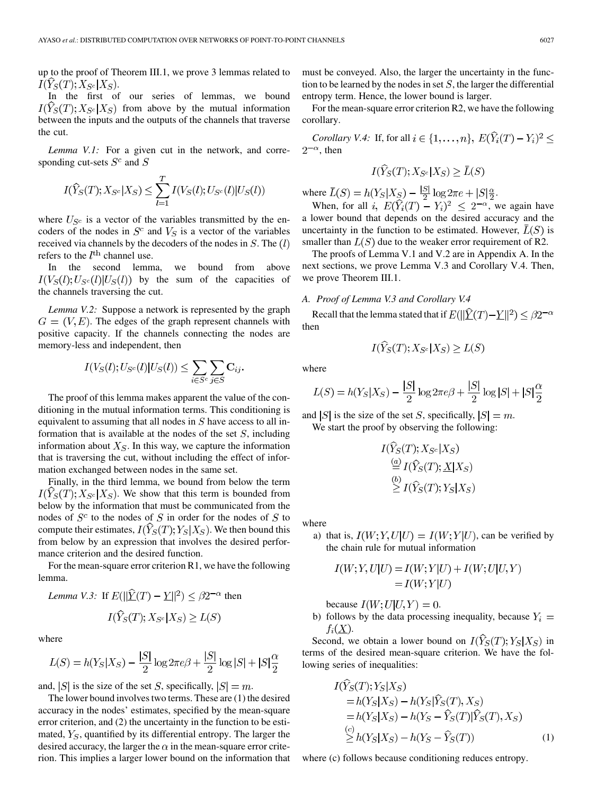up to the proof of Theorem III.1, we prove 3 lemmas related to  $I(Y_S(T); X_{S^c}|X_S).$ 

In the first of our series of lemmas, we bound  $I(Y_S(T); X_{S^c}|X_S)$  from above by the mutual information between the inputs and the outputs of the channels that traverse the cut.

*Lemma V.1:* For a given cut in the network, and corresponding cut-sets  $S^c$  and  $S$ 

$$
I(\widehat{Y}_{S}(T); X_{S^c}|X_S) \le \sum_{l=1}^T I(V_S(l); U_{S^c}(l)|U_S(l))
$$

where  $U_{S^c}$  is a vector of the variables transmitted by the encoders of the nodes in  $S^c$  and  $V_S$  is a vector of the variables received via channels by the decoders of the nodes in  $S$ . The  $(l)$ refers to the  $l^{\text{th}}$  channel use.

In the second lemma, we bound from above  $I(V_S(l); U_{S^c}(l) | U_S(l))$  by the sum of the capacities of the channels traversing the cut.

*Lemma V.2:* Suppose a network is represented by the graph  $G = (V, E)$ . The edges of the graph represent channels with positive capacity. If the channels connecting the nodes are memory-less and independent, then

$$
I(V_S(l); U_{S^c}(l) | U_S(l)) \le \sum_{i \in S^c} \sum_{j \in S} \mathbf{C}_{ij}.
$$

The proof of this lemma makes apparent the value of the conditioning in the mutual information terms. This conditioning is equivalent to assuming that all nodes in  $S$  have access to all information that is available at the nodes of the set  $S$ , including information about  $X<sub>S</sub>$ . In this way, we capture the information that is traversing the cut, without including the effect of information exchanged between nodes in the same set.

Finally, in the third lemma, we bound from below the term  $I(\hat{Y}_S(T); X_{S^c}|X_S)$ . We show that this term is bounded from below by the information that must be communicated from the nodes of  $S<sup>c</sup>$  to the nodes of S in order for the nodes of S to compute their estimates,  $I(\hat{Y}_S(T); Y_S|X_S)$ . We then bound this from below by an expression that involves the desired performance criterion and the desired function.

For the mean-square error criterion R1, we have the following lemma.

Lemma V.3: If 
$$
E(||\underline{Y}(T) - \underline{Y}||^2) \le \beta 2^{-\alpha}
$$
 then  

$$
I(\widehat{Y}_S(T); X_{S^c}|X_S) \ge L(S)
$$

where

$$
L(S) = h(Y_S|X_S) - \frac{|S|}{2}\log 2\pi e\beta + \frac{|S|}{2}\log |S| + |S|\frac{\alpha}{2}
$$

and,  $|S|$  is the size of the set S, specifically,  $|S| = m$ .

The lower bound involves two terms. These are (1) the desired accuracy in the nodes' estimates, specified by the mean-square error criterion, and (2) the uncertainty in the function to be estimated,  $Y<sub>S</sub>$ , quantified by its differential entropy. The larger the desired accuracy, the larger the  $\alpha$  in the mean-square error criterion. This implies a larger lower bound on the information that must be conveyed. Also, the larger the uncertainty in the function to be learned by the nodes in set  $S$ , the larger the differential entropy term. Hence, the lower bound is larger.

For the mean-square error criterion R2, we have the following corollary.

*Corollary V.4:* If, for all  $i \in \{1, \ldots, n\}$ ,  $E(\widehat{Y}_i(T) - Y_i)^2 \leq$  $2^{-\alpha}$ , then

$$
I(\widehat{Y}_S(T); X_{S^c}|X_S) \ge \overline{L}(S)
$$

where  $L(S) = h(Y_S|X_S) - \frac{|S|}{2} \log 2\pi e + |S| \frac{\alpha}{2}$ .

When, for all i,  $E(Y_i(T) - Y_i)^2 \leq 2^{-\alpha}$ , we again have a lower bound that depends on the desired accuracy and the uncertainty in the function to be estimated. However,  $\bar{L}(S)$  is smaller than  $L(S)$  due to the weaker error requirement of R2.

The proofs of Lemma V.1 and V.2 are in Appendix A. In the next sections, we prove Lemma V.3 and Corollary V.4. Then, we prove Theorem III.1.

# *A. Proof of Lemma V.3 and Corollary V.4*

Recall that the lemma stated that if  $E(||\hat{Y}(T)-Y||^2) \leq \beta 2^{-\alpha}$ then

$$
I(\widehat{Y}_S(T); X_{S^c}|X_S) \ge L(S)
$$

where

$$
L(S) = h(Y_S|X_S) - \frac{|S|}{2}\log 2\pi e\beta + \frac{|S|}{2}\log |S| + |S|\frac{\alpha}{2}
$$

and |S| is the size of the set S, specifically,  $|S| = m$ . We start the proof by observing the following:

$$
I(\hat{Y}_S(T); X_{S^c}|X_S)
$$
  
\n
$$
\stackrel{(a)}{=} I(\hat{Y}_S(T); \underline{X}|X_S)
$$
  
\n
$$
\stackrel{(b)}{\geq} I(\hat{Y}_S(T); Y_S|X_S)
$$

where

a) that is,  $I(W; Y, U|U) = I(W; Y|U)$ , can be verified by the chain rule for mutual information

$$
I(W;Y,U|U) = I(W;Y|U) + I(W;U|U,Y)
$$
  
= 
$$
I(W;Y|U)
$$

because  $I(W; U|U, Y) = 0$ .

b) follows by the data processing inequality, because  $Y_i =$ .

Second, we obtain a lower bound on  $I(\widehat{Y}_S(T); Y_S|X_S)$  in terms of the desired mean-square criterion. We have the following series of inequalities:

$$
I(\widehat{Y}_S(T); Y_S|X_S)
$$
  
=  $h(Y_S|X_S) - h(Y_S|\widehat{Y}_S(T), X_S)$   
=  $h(Y_S|X_S) - h(Y_S - \widehat{Y}_S(T)|\widehat{Y}_S(T), X_S)$   
 $\geq h(Y_S|X_S) - h(Y_S - \widehat{Y}_S(T))$  (1)

where  $(c)$  follows because conditioning reduces entropy.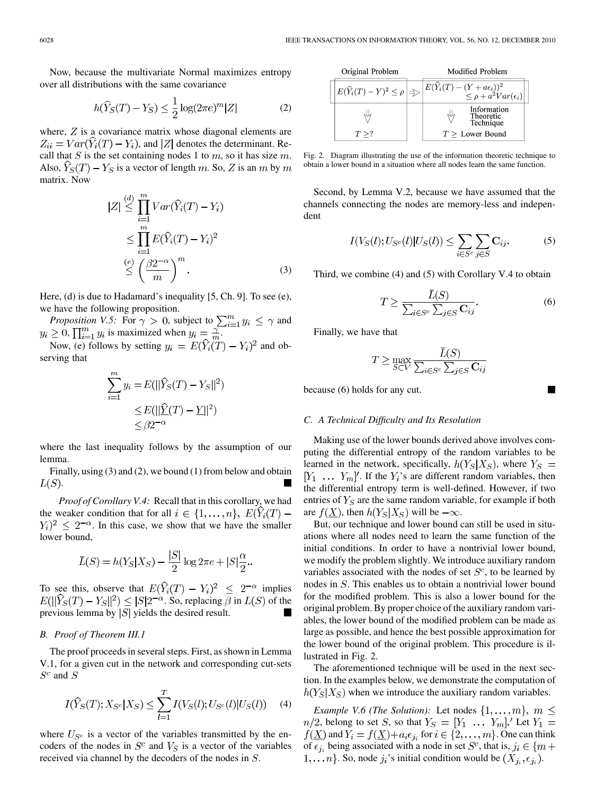Now, because the multivariate Normal maximizes entropy over all distributions with the same covariance

$$
h(\widehat{Y}_S(T) - Y_S) \le \frac{1}{2} \log(2\pi e)^m |Z| \tag{2}
$$

where,  $Z$  is a covariance matrix whose diagonal elements are  $Z_{ii} = Var(\hat{Y}_i(T) - Y_i)$ , and |Z| denotes the determinant. Recall that  $S$  is the set containing nodes 1 to  $m$ , so it has size  $m$ . Also,  $\hat{Y}_S(T) - Y_S$  is a vector of length m. So, Z is an m by m matrix. Now

$$
|Z| \stackrel{(d)}{\leq} \prod_{i=1}^{m} Var(\widehat{Y}_i(T) - Y_i)
$$
  
\n
$$
\leq \prod_{i=1}^{m} E(\widehat{Y}_i(T) - Y_i)^2
$$
  
\n
$$
\stackrel{(e)}{\leq} \left(\frac{\beta 2^{-\alpha}}{m}\right)^m.
$$
 (3)

Here, (d) is due to Hadamard's inequality [5, Ch. 9]. To see (e), we have the following proposition.

*Proposition V.5:* For  $\gamma > 0$ , subject to  $\sum_{i=1}^{m} y_i \leq \gamma$  and ,  $\prod_{i=1}^{m} y_i$  is maximized when  $y_i = \frac{\gamma}{m}$ .

Now, (e) follows by setting  $y_i = E(Y_i(T) - Y_i)^2$  and observing that

$$
\sum_{i=1}^{m} y_i = E(||\hat{Y}_S(T) - Y_S||^2)
$$
  
\n
$$
\leq E(||\hat{\underline{Y}}(T) - \underline{Y}||^2)
$$
  
\n
$$
\leq \beta 2^{-\alpha}
$$

where the last inequality follows by the assumption of our lemma.

Finally, using (3) and (2), we bound (1) from below and obtain  $L(S)$ .

*Proof of Corollary V.4:* Recall that in this corollary, we had the weaker condition that for all  $i \in \{1, ..., n\}$ ,  $E(Y_i(T) Y_i$ <sup>2</sup>  $\leq$  2<sup>- $\alpha$ </sup>. In this case, we show that we have the smaller lower bound,

$$
\bar{L}(S) = h(Y_S|X_S) - \frac{|S|}{2}\log 2\pi e + |S|\frac{\alpha}{2}.
$$

To see this, observe that  $E(\hat{Y}_i(T) - Y_i)^2 \leq 2^{-\alpha}$  implies  $E(||\hat{Y}_S(T) - Y_S||^2) \le |S|2^{-\alpha}$ . So, replacing  $\beta$  in  $L(S)$  of the previous lemma by  $|S|$  yields the desired result.

# *B. Proof of Theorem III.1*

The proof proceeds in several steps. First, as shown in Lemma V.1, for a given cut in the network and corresponding cut-sets  $S^c$  and  $S$ 

$$
I(\widehat{Y}_S(T); X_{S^c}|X_S) \le \sum_{l=1}^T I(V_S(l); U_{S^c}(l)|U_S(l)) \tag{4}
$$

where  $U_{\mathcal{S}^c}$  is a vector of the variables transmitted by the encoders of the nodes in  $S<sup>c</sup>$  and  $V<sub>S</sub>$  is a vector of the variables received via channel by the decoders of the nodes in  $S$ .

| Original Problem                                     | Modified Problem                                                                                  |
|------------------------------------------------------|---------------------------------------------------------------------------------------------------|
| $E(\widehat{Y}_i(T)-Y)^2 \leq \rho \Big \Rightarrow$ | $\left  \frac{E(\widehat{Y}_i(T) - (Y + a\epsilon_i))^2}{\leq \rho + a^2Var(\epsilon_i)} \right $ |
|                                                      | Information<br>Theoretic<br>Technique                                                             |
| T > ?                                                | $T \geq$ Lower Bound                                                                              |

Fig. 2. Diagram illustrating the use of the information theoretic technique to obtain a lower bound in a situation where all nodes learn the same function.

Second, by Lemma V.2, because we have assumed that the channels connecting the nodes are memory-less and independent

$$
I(V_S(l); U_{S^c}(l)|U_S(l)) \le \sum_{i \in S^c} \sum_{j \in S} \mathbf{C}_{ij}.
$$
 (5)

Third, we combine (4) and (5) with Corollary V.4 to obtain

$$
T \ge \frac{\bar{L}(S)}{\sum_{i \in S^c} \sum_{j \in S} \mathbf{C}_{ij}}.\tag{6}
$$

Finally, we have that

$$
T \ge \max_{S \subset V} \frac{L(S)}{\sum_{i \in S^c} \sum_{j \in S} \mathbf{C}_{ij}}
$$

because (6) holds for any cut.

## *C. A Technical Difficulty and Its Resolution*

Making use of the lower bounds derived above involves computing the differential entropy of the random variables to be learned in the network, specifically,  $h(Y_S|X_S)$ , where  $Y_S$  =  $[Y_1 \ldots Y_m]'$ . If the  $Y_i$ 's are different random variables, then the differential entropy term is well-defined. However, if two entries of  $Y_s$  are the same random variable, for example if both are  $f(\underline{X})$ , then  $h(Y_S|X_S)$  will be  $-\infty$ .

But, our technique and lower bound can still be used in situations where all nodes need to learn the same function of the initial conditions. In order to have a nontrivial lower bound, we modify the problem slightly. We introduce auxiliary random variables associated with the nodes of set  $S<sup>c</sup>$ , to be learned by nodes in  $S$ . This enables us to obtain a nontrivial lower bound for the modified problem. This is also a lower bound for the original problem. By proper choice of the auxiliary random variables, the lower bound of the modified problem can be made as large as possible, and hence the best possible approximation for the lower bound of the original problem. This procedure is illustrated in Fig. 2.

The aforementioned technique will be used in the next section. In the examples below, we demonstrate the computation of  $h(Y_S|X_S)$  when we introduce the auxiliary random variables.

*Example V.6 (The Solution):* Let nodes  $\{1, \ldots, m\}$ ,  $m \leq$ , belong to set S, so that  $Y_S = [Y_1 \dots Y_m]$ . Let and  $Y_i = f(\underline{X}) + a_i \epsilon_{j_i}$  for  $i \in \{2, ..., m\}$ . One can think of  $\epsilon_{i}$ , being associated with a node in set  $S^c$ , that is,  $j_i \in \{m +$  $\{1, \ldots n\}$ . So, node  $j_i$ 's initial condition would be  $(X_{j_i}, \epsilon_{j_i})$ .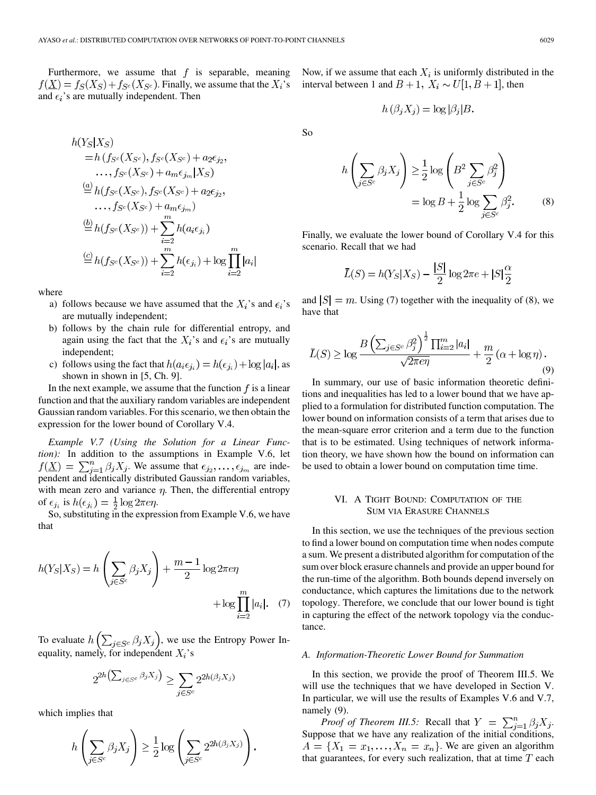Furthermore, we assume that  $f$  is separable, meaning  $f(\underline{X}) = f_S(X_S) + f_{S^c}(X_{S^c})$ . Finally, we assume that the  $X_i$ 's and  $\epsilon_i$ 's are mutually independent. Then

$$
h(Y_S|X_S)
$$
  
=  $h(f_{S^c}(X_{S^c}), f_{S^c}(X_{S^c}) + a_2\epsilon_{j_2},$   
...,  $f_{S^c}(X_{S^c}) + a_m\epsilon_{j_m}|X_S)$   

$$
\stackrel{(a)}{=} h(f_{S^c}(X_{S^c}), f_{S^c}(X_{S^c}) + a_2\epsilon_{j_2},
$$
  
...,  $f_{S^c}(X_{S^c}) + a_m\epsilon_{j_m})$   

$$
\stackrel{(b)}{=} h(f_{S^c}(X_{S^c})) + \sum_{i=2}^m h(a_i\epsilon_{j_i})
$$
  

$$
\stackrel{(c)}{=} h(f_{S^c}(X_{S^c})) + \sum_{i=2}^m h(\epsilon_{j_i}) + \log \prod_{i=2}^m |a_i|
$$

where

- a) follows because we have assumed that the  $X_i$ 's and  $\epsilon_i$ 's are mutually independent;
- b) follows by the chain rule for differential entropy, and again using the fact that the  $X_i$ 's and  $\epsilon_i$ 's are mutually independent;
- c) follows using the fact that  $h(a_i \epsilon_{i_i}) = h(\epsilon_{i_i}) + \log |a_i|$ , as shown in shown in [5, Ch. 9].

In the next example, we assume that the function  $f$  is a linear function and that the auxiliary random variables are independent Gaussian random variables. For this scenario, we then obtain the expression for the lower bound of Corollary V.4.

*Example V.7 (Using the Solution for a Linear Function):* In addition to the assumptions in Example V.6, let  $f(\underline{X}) = \sum_{j=1}^{n} \beta_j X_j$ . We assume that  $\epsilon_{j_2}, \dots, \epsilon_{j_m}$  are independent and identically distributed Gaussian random variables, with mean zero and variance  $\eta$ . Then, the differential entropy of  $\epsilon_{j_i}$  is  $h(\epsilon_{j_i}) = \frac{1}{2} \log 2\pi e \eta$ .

So, substituting in the expression from Example V.6, we have that

$$
h(Y_S|X_S) = h\left(\sum_{j \in S^c} \beta_j X_j\right) + \frac{m-1}{2} \log 2\pi e \eta + \log \prod_{i=2}^m |a_i|.
$$
 (7)

To evaluate  $h\left(\sum_{j\in S^c}\beta_jX_j\right)$ , we use the Entropy Power Inequality, namely, for independent  $X_i$ 's

$$
2^{2h\left(\sum_{j\in S^c}\beta_jX_j\right)} \ge \sum_{j\in S^c} 2^{2h(\beta_jX_j)}
$$

which implies that

$$
h\left(\sum_{j\in S^c} \beta_j X_j\right) \ge \frac{1}{2} \log \left(\sum_{j\in S^c} 2^{2h(\beta_j X_j)}\right).
$$

Now, if we assume that each  $X_i$  is uniformly distributed in the interval between 1 and  $B + 1$ ,  $X_i \sim U[1, B + 1]$ , then

$$
h(\beta_j X_j) = \log |\beta_j| B.
$$

So

$$
h\left(\sum_{j\in S^c} \beta_j X_j\right) \ge \frac{1}{2} \log \left(B^2 \sum_{j\in S^c} \beta_j^2\right)
$$
  
=  $\log B + \frac{1}{2} \log \sum_{j\in S^c} \beta_j^2$ . (8)

Finally, we evaluate the lower bound of Corollary V.4 for this scenario. Recall that we had

$$
\bar{L}(S) = h(Y_S|X_S) - \frac{|S|}{2} \log 2\pi e + |S| \frac{\alpha}{2}
$$

and  $|S| = m$ . Using (7) together with the inequality of (8), we have that

$$
\bar{L}(S) \ge \log \frac{B\left(\sum_{j \in S^c} \beta_j^2\right)^{\frac{1}{2}} \prod_{i=2}^m |a_i|}{\sqrt{2\pi e\eta}} + \frac{m}{2} \left(\alpha + \log \eta\right). \tag{9}
$$

In summary, our use of basic information theoretic definitions and inequalities has led to a lower bound that we have applied to a formulation for distributed function computation. The lower bound on information consists of a term that arises due to the mean-square error criterion and a term due to the function that is to be estimated. Using techniques of network information theory, we have shown how the bound on information can be used to obtain a lower bound on computation time time.

# VI. A TIGHT BOUND: COMPUTATION OF THE SUM VIA ERASURE CHANNELS

In this section, we use the techniques of the previous section to find a lower bound on computation time when nodes compute a sum. We present a distributed algorithm for computation of the sum over block erasure channels and provide an upper bound for the run-time of the algorithm. Both bounds depend inversely on conductance, which captures the limitations due to the network topology. Therefore, we conclude that our lower bound is tight in capturing the effect of the network topology via the conductance.

#### *A. Information-Theoretic Lower Bound for Summation*

In this section, we provide the proof of Theorem III.5. We will use the techniques that we have developed in Section V. In particular, we will use the results of Examples V.6 and V.7, namely (9).

*Proof of Theorem III.5:* Recall that  $Y = \sum_{j=1}^{n} \beta_j X_j$ . Suppose that we have any realization of the initial conditions,  $A = \{X_1 = x_1, \ldots, X_n = x_n\}.$  We are given an algorithm that guarantees, for every such realization, that at time  $T$  each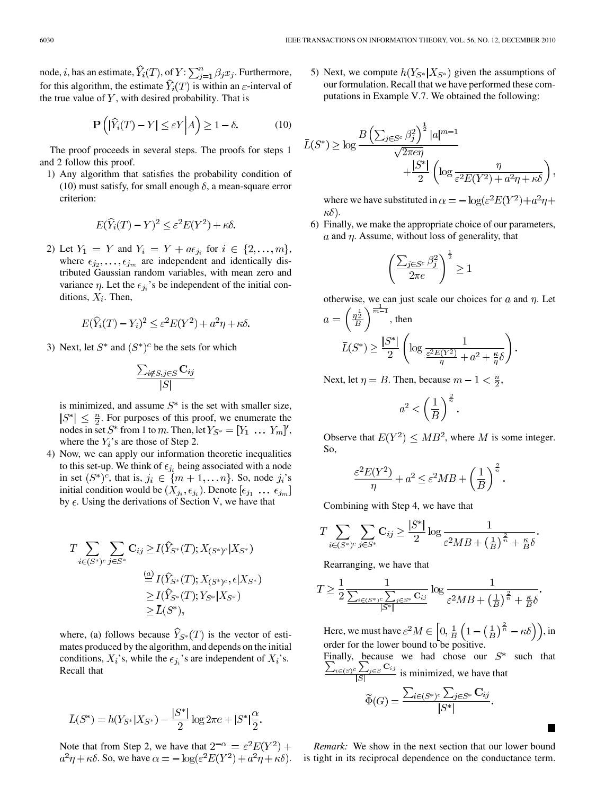node, *i*, has an estimate,  $\hat{Y}_i(T)$ , of  $Y: \sum_{i=1}^n \beta_i x_i$ . Furthermore, for this algorithm, the estimate  $\widehat{Y}_i(T)$  is within an  $\varepsilon$ -interval of the true value of  $Y$ , with desired probability. That is

$$
\mathbf{P}\left(|\widehat{Y}_i(T) - Y| \le \varepsilon Y \middle| A\right) \ge 1 - \delta. \tag{10}
$$

The proof proceeds in several steps. The proofs for steps 1 and 2 follow this proof.

1) Any algorithm that satisfies the probability condition of (10) must satisfy, for small enough  $\delta$ , a mean-square error criterion:

$$
E(\widehat{Y}_i(T) - Y)^2 \le \varepsilon^2 E(Y^2) + \kappa \delta.
$$

2) Let  $Y_1 = Y$  and  $Y_i = Y + a\epsilon_{j_i}$  for  $i \in \{2,\ldots,m\}$ , where  $\epsilon_{j_2}, \ldots, \epsilon_{j_m}$  are independent and identically distributed Gaussian random variables, with mean zero and variance  $\eta$ . Let the  $\epsilon_{j_i}$ 's be independent of the initial conditions,  $X_i$ . Then,

$$
E(\widehat{Y}_i(T) - Y_i)^2 \le \varepsilon^2 E(Y^2) + a^2 \eta + \kappa \delta.
$$

3) Next, let  $S^*$  and  $(S^*)^c$  be the sets for which

$$
\frac{\sum_{i \notin S, j \in S} \mathbf{C}_{ij}}{|S|}
$$

is minimized, and assume  $S^*$  is the set with smaller size,  $|S^*| \leq \frac{n}{2}$ . For purposes of this proof, we enumerate the nodes in set  $S^*$  from 1 to m. Then, let  $Y_{S^*} = [Y_1 \dots Y_m]'$ , where the  $Y_i$ 's are those of Step 2.

4) Now, we can apply our information theoretic inequalities to this set-up. We think of  $\epsilon_{j_i}$  being associated with a node in set  $(S^*)^c$ , that is,  $j_i \in \{m+1, \ldots n\}$ . So, node  $j_i$ 's initial condition would be  $(X_{j_i}, \epsilon_{j_i})$ . Denote  $[\epsilon_{j_1} \dots \epsilon_{j_m}]$ by  $\epsilon$ . Using the derivations of Section V, we have that

$$
T \sum_{i \in (S^*)^c} \sum_{j \in S^*} \mathbf{C}_{ij} \ge I(\hat{Y}_{S^*}(T); X_{(S^*)^c} | X_{S^*})
$$
  
\n
$$
\stackrel{(a)}{=} I(\hat{Y}_{S^*}(T); X_{(S^*)^c}, \epsilon | X_{S^*})
$$
  
\n
$$
\ge I(\hat{Y}_{S^*}(T); Y_{S^*} | X_{S^*})
$$
  
\n
$$
\ge \bar{L}(S^*),
$$

where, (a) follows because  $\hat{Y}_{S^*}(T)$  is the vector of estimates produced by the algorithm, and depends on the initial conditions,  $X_i$ 's, while the  $\epsilon_{j_i}$ 's are independent of  $X_i$ 's. Recall that

$$
\bar{L}(S^*) = h(Y_{S^*}|X_{S^*}) - \frac{|S^*|}{2}\log 2\pi e + |S^*|\frac{\alpha}{2}.
$$

Note that from Step 2, we have that  $2^{-\alpha} = \varepsilon^2 E(Y^2) +$  $a^2\eta + \kappa \delta$ . So, we have  $\alpha = -\log(\varepsilon^2 E(Y^2) + a^2\eta + \kappa \delta)$ . 5) Next, we compute  $h(Y_{S^*}|X_{S^*})$  given the assumptions of our formulation. Recall that we have performed these computations in Example V.7. We obtained the following:

$$
\overline{L}(S^*) \ge \log \frac{B\left(\sum_{j \in S^c} \beta_j^2\right)^{\frac{1}{2}} |a|^{m-1}}{\sqrt{2\pi e\eta}} + \frac{|S^*|}{2} \left(\log \frac{\eta}{\varepsilon^2 E(Y^2) + a^2 \eta + \kappa \delta}\right),
$$

where we have substituted in  $\alpha = -\log(\varepsilon^2 E(Y^2) + a^2 \eta +$  $\kappa\delta$ ).

6) Finally, we make the appropriate choice of our parameters,  $a$  and  $\eta$ . Assume, without loss of generality, that

$$
\left(\frac{\sum_{j\in S^c} \beta_j^2}{2\pi e}\right)^{\frac{1}{2}} \ge 1
$$

otherwise, we can just scale our choices for  $a$  and  $\eta$ . Let  $a = \left(\frac{\eta^{\frac{1}{2}}}{n}\right)^{\frac{1}{m-1}}$  then

$$
\overline{L}(S^*) \ge \frac{|S^*|}{2} \left( \log \frac{1}{\frac{\varepsilon^2 E(Y^2)}{\eta} + a^2 + \frac{\kappa}{\eta} \delta} \right).
$$

Next, let  $\eta = B$ . Then, because  $m - 1 < \frac{n}{2}$ ,

$$
a^2 < \left(\frac{1}{B}\right)^{\frac{2}{n}}.
$$

Observe that  $E(Y^2) \leq MB^2$ , where M is some integer. So,

$$
\frac{\varepsilon^2 E(Y^2)}{\eta} + a^2 \le \varepsilon^2 MB + \left(\frac{1}{B}\right)^{\frac{2}{n}}
$$

Combining with Step 4, we have that

$$
T\sum_{i\in (S^*)^c} \sum_{j\in S^*} \mathbf{C}_{ij} \ge \frac{|S^*|}{2} \log \frac{1}{\varepsilon^2 MB + \left(\frac{1}{B}\right)^{\frac{2}{n}} + \frac{\kappa}{B}\delta}.
$$

Rearranging, we have that

$$
T \ge \frac{1}{2} \frac{1}{\sum_{i \in (S^*)^c} \sum_{j \in S^*} \mathbf{C}_{ij}} \log \frac{1}{\varepsilon^2 MB + \left(\frac{1}{B}\right)^{\frac{2}{n}} + \frac{\kappa}{B}\delta}
$$

Here, we must have  $\varepsilon^2 M \in \left[0, \frac{1}{B} \left(1 - \left(\frac{1}{B}\right)^{\overline{n}} - \kappa \delta\right)\right],$  in order for the lower bound to be positive. Finally, because we had chose our  $S^*$  such that is minimized, we have that  $\widetilde{\Phi}(G) = \frac{\sum_{i \in (S^*)^c} \sum_{j \in S^*} \mathbf{C}_{ij}}{|S^*|}.$ 

П

*Remark:* We show in the next section that our lower bound is tight in its reciprocal dependence on the conductance term.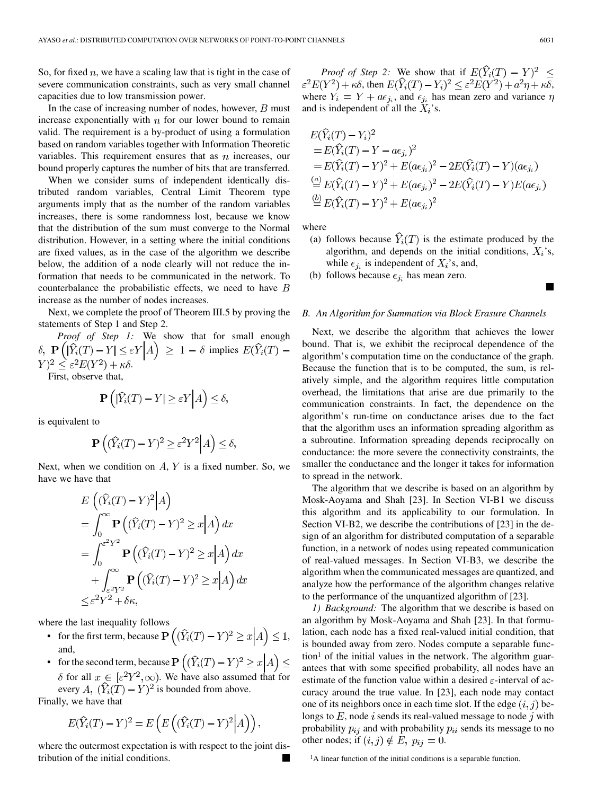So, for fixed  $n$ , we have a scaling law that is tight in the case of severe communication constraints, such as very small channel capacities due to low transmission power.

In the case of increasing number of nodes, however,  $B$  must increase exponentially with  $n$  for our lower bound to remain valid. The requirement is a by-product of using a formulation based on random variables together with Information Theoretic variables. This requirement ensures that as  $n$  increases, our bound properly captures the number of bits that are transferred.

When we consider sums of independent identically distributed random variables, Central Limit Theorem type arguments imply that as the number of the random variables increases, there is some randomness lost, because we know that the distribution of the sum must converge to the Normal distribution. However, in a setting where the initial conditions are fixed values, as in the case of the algorithm we describe below, the addition of a node clearly will not reduce the information that needs to be communicated in the network. To counterbalance the probabilistic effects, we need to have  $B$ increase as the number of nodes increases.

Next, we complete the proof of Theorem III.5 by proving the statements of Step 1 and Step 2.

*Proof of Step 1:* We show that for small enough  $\delta$ ,  $\mathbf{P}\left(|\hat{Y}_i(T) - Y| \le \varepsilon Y \middle| A\right) \ge 1 - \delta$  implies  $E(\hat{Y}_i(T) (Y)^2 < \varepsilon^2 E(Y^2) + \kappa \delta.$ First, observe that,

$$
\mathbf{P}\left(|\widehat{Y}_i(T) - Y| \ge \varepsilon Y\Big|A\right) \le \delta,
$$

is equivalent to

$$
\mathbf{P}\left((\widehat{Y}_i(T) - Y)^2 \ge \varepsilon^2 Y^2 \middle| A\right) \le \delta,
$$

Next, when we condition on  $A$ ,  $Y$  is a fixed number. So, we have we have that

$$
E\left((\widehat{Y}_i(T) - Y)^2 | A\right)
$$
  
=  $\int_0^\infty \mathbf{P}\left((\widehat{Y}_i(T) - Y)^2 \ge x | A\right) dx$   
=  $\int_0^{\varepsilon^2 Y^2} \mathbf{P}\left((\widehat{Y}_i(T) - Y)^2 \ge x | A\right) dx$   
+  $\int_{\varepsilon^2 Y^2}^\infty \mathbf{P}\left((\widehat{Y}_i(T) - Y)^2 \ge x | A\right) dx$   
<  $\langle \varepsilon^2 Y^2 + \delta \kappa \rangle$ 

where the last inequality follows

- for the first term, because  $\mathbf{P}((\hat{Y}_i(T) Y)^2 \geq x | A) \leq 1$ , and,
- for the second term, because  $\mathbf{P}\left((\widehat{Y}_i(T) Y)^2 \geq x | A\right) \leq$  $\delta$  for all  $x \in [\varepsilon^2 Y^2, \infty)$ . We have also assumed that for every A,  $(\hat{Y}_i(T) - Y)^2$  is bounded from above. Finally, we have that

$$
E(\widehat{Y}_i(T) - Y)^2 = E\left(E\left((\widehat{Y}_i(T) - Y)^2 | A\right)\right),\,
$$

where the outermost expectation is with respect to the joint distribution of the initial conditions.

*Proof of Step 2:* We show that if  $E(\hat{Y}_i(T) - Y)^2 \leq$  $\varepsilon^2 E(Y^2) + \kappa \delta$ , then  $E(\hat{Y}_i(T) - Y_i)^2 \leq \varepsilon^2 E(Y^2) + a^2 \eta + \kappa \delta$ , where  $Y_i = Y + a\epsilon_{j_i}$ , and  $\epsilon_{j_i}$  has mean zero and variance  $\eta$ and is independent of all the  $X_i$ 's.

$$
E(\hat{Y}_i(T) - Y_i)^2
$$
  
=  $E(\hat{Y}_i(T) - Y - a\epsilon_{j_i})^2$   
=  $E(\hat{Y}_i(T) - Y)^2 + E(a\epsilon_{j_i})^2 - 2E(\hat{Y}_i(T) - Y)(a\epsilon_{j_i})$   
 $\stackrel{(a)}{=} E(\hat{Y}_i(T) - Y)^2 + E(a\epsilon_{j_i})^2 - 2E(\hat{Y}_i(T) - Y)E(a\epsilon_{j_i})$   
 $\stackrel{(b)}{=} E(\hat{Y}_i(T) - Y)^2 + E(a\epsilon_{j_i})^2$ 

where

- (a) follows because  $\hat{Y}_i(T)$  is the estimate produced by the algorithm, and depends on the initial conditions,  $X_i$ 's, while  $\epsilon_{i}$  is independent of  $X_i$ 's, and,
- (b) follows because  $\epsilon_{j_i}$  has mean zero.

# *B. An Algorithm for Summation via Block Erasure Channels*

Next, we describe the algorithm that achieves the lower bound. That is, we exhibit the reciprocal dependence of the algorithm's computation time on the conductance of the graph. Because the function that is to be computed, the sum, is relatively simple, and the algorithm requires little computation overhead, the limitations that arise are due primarily to the communication constraints. In fact, the dependence on the algorithm's run-time on conductance arises due to the fact that the algorithm uses an information spreading algorithm as a subroutine. Information spreading depends reciprocally on conductance: the more severe the connectivity constraints, the smaller the conductance and the longer it takes for information to spread in the network.

The algorithm that we describe is based on an algorithm by Mosk-Aoyama and Shah [23]. In Section VI-B1 we discuss this algorithm and its applicability to our formulation. In Section VI-B2, we describe the contributions of [23] in the design of an algorithm for distributed computation of a separable function, in a network of nodes using repeated communication of real-valued messages. In Section VI-B3, we describe the algorithm when the communicated messages are quantized, and analyze how the performance of the algorithm changes relative to the performance of the unquantized algorithm of [23].

*1) Background:* The algorithm that we describe is based on an algorithm by Mosk-Aoyama and Shah [23]. In that formulation, each node has a fixed real-valued initial condition, that is bounded away from zero. Nodes compute a separable func- $\tau$  tion<sup>1</sup> of the initial values in the network. The algorithm guarantees that with some specified probability, all nodes have an estimate of the function value within a desired  $\varepsilon$ -interval of accuracy around the true value. In [23], each node may contact one of its neighbors once in each time slot. If the edge  $(i, j)$  belongs to  $E$ , node  $i$  sends its real-valued message to node  $j$  with probability  $p_{ij}$  and with probability  $p_{ii}$  sends its message to no other nodes; if  $(i, j) \notin E$ ,  $p_{ij} = 0$ .

 $<sup>1</sup>A$  linear function of the initial conditions is a separable function.</sup>

П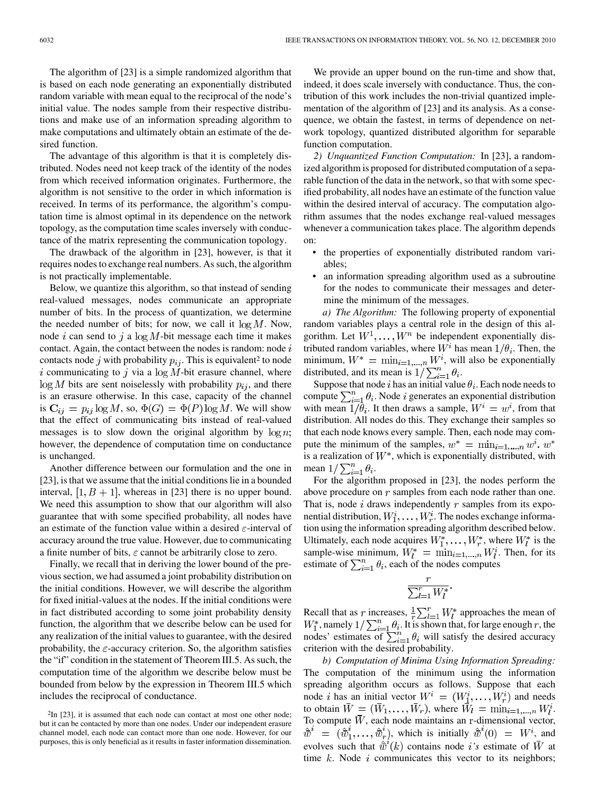The algorithm of [23] is a simple randomized algorithm that is based on each node generating an exponentially distributed random variable with mean equal to the reciprocal of the node's initial value. The nodes sample from their respective distributions and make use of an information spreading algorithm to make computations and ultimately obtain an estimate of the desired function.

The advantage of this algorithm is that it is completely distributed. Nodes need not keep track of the identity of the nodes from which received information originates. Furthermore, the algorithm is not sensitive to the order in which information is received. In terms of its performance, the algorithm's computation time is almost optimal in its dependence on the network topology, as the computation time scales inversely with conductance of the matrix representing the communication topology.

The drawback of the algorithm in [23], however, is that it requires nodes to exchange real numbers. As such, the algorithm is not practically implementable.

Below, we quantize this algorithm, so that instead of sending real-valued messages, nodes communicate an appropriate number of bits. In the process of quantization, we determine the needed number of bits; for now, we call it  $\log M$ . Now, node i can send to j a  $\log M$ -bit message each time it makes contact. Again, the contact between the nodes is random: node  $i$ contacts node j with probability  $p_{ij}$ . This is equivalent<sup>2</sup> to node i communicating to j via a  $\log M$ -bit erasure channel, where  $\log M$  bits are sent noiselessly with probability  $p_{ij}$ , and there is an erasure otherwise. In this case, capacity of the channel is  $C_{ij} = p_{ij} \log M$ , so,  $\Phi(G) = \Phi(P) \log M$ . We will show that the effect of communicating bits instead of real-valued messages is to slow down the original algorithm by  $\log n$ . however, the dependence of computation time on conductance is unchanged.

Another difference between our formulation and the one in [23], is that we assume that the initial conditions lie in a bounded interval,  $[1, B + 1]$ , whereas in [23] there is no upper bound. We need this assumption to show that our algorithm will also guarantee that with some specified probability, all nodes have an estimate of the function value within a desired  $\varepsilon$ -interval of accuracy around the true value. However, due to communicating a finite number of bits,  $\varepsilon$  cannot be arbitrarily close to zero.

Finally, we recall that in deriving the lower bound of the previous section, we had assumed a joint probability distribution on the initial conditions. However, we will describe the algorithm for fixed initial-values at the nodes. If the initial conditions were in fact distributed according to some joint probability density function, the algorithm that we describe below can be used for any realization of the initial values to guarantee, with the desired probability, the  $\varepsilon$ -accuracy criterion. So, the algorithm satisfies the "if" condition in the statement of Theorem III.5. As such, the computation time of the algorithm we describe below must be bounded from below by the expression in Theorem III.5 which includes the reciprocal of conductance.

We provide an upper bound on the run-time and show that, indeed, it does scale inversely with conductance. Thus, the contribution of this work includes the non-trivial quantized implementation of the algorithm of [23] and its analysis. As a consequence, we obtain the fastest, in terms of dependence on network topology, quantized distributed algorithm for separable function computation.

*2) Unquantized Function Computation:* In [23], a randomized algorithm is proposed for distributed computation of a separable function of the data in the network, so that with some specified probability, all nodes have an estimate of the function value within the desired interval of accuracy. The computation algorithm assumes that the nodes exchange real-valued messages whenever a communication takes place. The algorithm depends on:

- the properties of exponentially distributed random variables;
- an information spreading algorithm used as a subroutine for the nodes to communicate their messages and determine the minimum of the messages.

*a) The Algorithm:* The following property of exponential random variables plays a central role in the design of this algorithm. Let  $W^1, \ldots, W^n$  be independent exponentially distributed random variables, where  $W^i$  has mean  $1/\theta_i$ . Then, the minimum,  $W^* = \min_{i=1,\dots,n} W^i$ , will also be exponentially distributed, and its mean is  $1/\sum_{i=1}^n \theta_i$ .

Suppose that node i has an initial value  $\theta_i$ . Each node needs to compute  $\sum_{i=1}^{n} \theta_i$ . Node *i* generates an exponential distribution with mean  $1/\theta_i$ . It then draws a sample,  $W^i = w^i$ , from that distribution. All nodes do this. They exchange their samples so that each node knows every sample. Then, each node may compute the minimum of the samples,  $w^* = \min_{i=1,\dots,n} w^i \cdot w^*$ is a realization of  $W^*$ , which is exponentially distributed, with mean  $1/\sum_{i=1}^n \theta_i$ .

For the algorithm proposed in [23], the nodes perform the above procedure on  $r$  samples from each node rather than one. That is, node  $i$  draws independently  $r$  samples from its exponential distribution,  $W_1^i, \ldots, W_r^i$ . The nodes exchange information using the information spreading algorithm described below. Ultimately, each node acquires  $W_1^*, \ldots, W_r^*$ , where  $W_l^*$  is the sample-wise minimum,  $W_I^* = \min_{i=1,...,n} W_I^i$ . Then, for its estimate of  $\sum_{i=1}^{n} \theta_i$ , each of the nodes computes

$$
\frac{r}{\sum_{l=1}^r W_l^*}.
$$

Recall that as r increases,  $\frac{1}{r}\sum_{l=1}^{r} W_l^*$  approaches the mean of , namely  $1/\sum_{i=1}^n \theta_i$ . It is shown that, for large enough r, the nodes' estimates of  $\sum_{i=1}^{n} \theta_i$  will satisfy the desired accuracy criterion with the desired probability.

*b) Computation of Minima Using Information Spreading:* The computation of the minimum using the information spreading algorithm occurs as follows. Suppose that each node *i* has an initial vector  $W^i = (W^i_1, \dots, W^i_r)$  and needs to obtain  $\bar{W} = (\bar{W}_1, \ldots, \bar{W}_r)$ , where  $\bar{W}_l = \min_{i=1,\ldots,n} W_l^i$ . To compute  $\bar{W}$ , each node maintains an r-dimensional vector,  $\hat{\psi}^i = (\hat{\psi}_1^i, \dots, \hat{\psi}_r^i)$ , which is initially  $\hat{\psi}^i(0) = W^i$ , and evolves such that  $\hat{w}^i(k)$  contains node *i*'s estimate of  $\overline{W}$  at time  $k$ . Node  $i$  communicates this vector to its neighbors;

<sup>&</sup>lt;sup>2</sup>In [23], it is assumed that each node can contact at most one other node; but it can be contacted by more than one nodes. Under our independent erasure channel model, each node can contact more than one node. However, for our purposes, this is only beneficial as it results in faster information dissemination.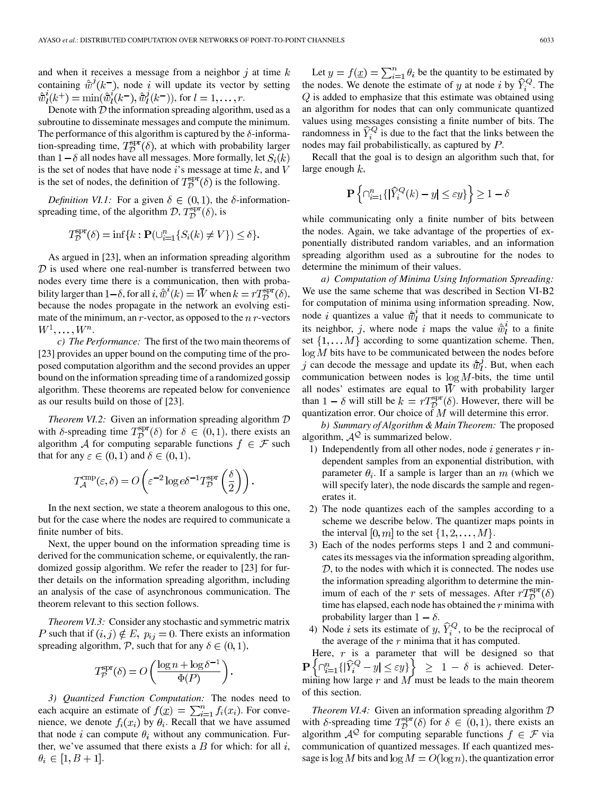and when it receives a message from a neighbor  $j$  at time  $k$ containing  $\hat{w}^j(k^-)$ , node i will update its vector by setting  $\hat{\psi}_l^i(k^+) = \min(\hat{\psi}_l^i(k^-), \hat{\psi}_l^j(k^-)),$  for  $l = 1, ..., r$ .

Denote with  $D$  the information spreading algorithm, used as a subroutine to disseminate messages and compute the minimum. The performance of this algorithm is captured by the  $\delta$ -information-spreading time,  $T^{\text{spr}}_{\mathcal{D}}(\delta)$ , at which with probability larger than  $1 - \delta$  all nodes have all messages. More formally, let  $S_i(k)$ is the set of nodes that have node  $i$ 's message at time  $k$ , and  $V$ is the set of nodes, the definition of  $T_{\mathcal{D}}^{\text{spr}}(\delta)$  is the following.

*Definition VI.1:* For a given  $\delta \in (0,1)$ , the  $\delta$ -informationspreading time, of the algorithm  $\mathcal{D}, T^{\text{spr}}_{\mathcal{D}}(\delta)$ , is

$$
T_{\mathcal{D}}^{\text{spr}}(\delta) = \inf\{k : \mathbf{P}(\cup_{i=1}^{n} \{S_i(k) \neq V\}) \le \delta\}.
$$

As argued in [23], when an information spreading algorithm  $D$  is used where one real-number is transferred between two nodes every time there is a communication, then with probability larger than  $1-\delta$ , for all  $i, \hat{w}^i(k) = \overline{W}$  when  $k = rT_{\mathcal{D}}^{\text{spr}}(\delta)$ , because the nodes propagate in the network an evolving estimate of the minimum, an  $r$ -vector, as opposed to the  $n r$ -vectors  $W^1, \ldots, W^n$ .

*c) The Performance:* The first of the two main theorems of [23] provides an upper bound on the computing time of the proposed computation algorithm and the second provides an upper bound on the information spreading time of a randomized gossip algorithm. These theorems are repeated below for convenience as our results build on those of [23].

*Theorem VI.2:* Given an information spreading algorithm  $D$ with  $\delta$ -spreading time  $T_D^{\text{spr}}(\delta)$  for  $\delta \in (0,1)$ , there exists an algorithm A for computing separable functions  $f \in \mathcal{F}$  such that for any  $\varepsilon \in (0,1)$  and  $\delta \in (0,1)$ ,

$$
T_{\mathcal{A}}^{\text{cmp}}(\varepsilon,\delta) = O\left(\varepsilon^{-2} \log e \delta^{-1} T_{\mathcal{D}}^{\text{spr}}\left(\frac{\delta}{2}\right)\right).
$$

In the next section, we state a theorem analogous to this one, but for the case where the nodes are required to communicate a finite number of bits.

Next, the upper bound on the information spreading time is derived for the communication scheme, or equivalently, the randomized gossip algorithm. We refer the reader to [23] for further details on the information spreading algorithm, including an analysis of the case of asynchronous communication. The theorem relevant to this section follows.

*Theorem VI.3:* Consider any stochastic and symmetric matrix P such that if  $(i, j) \notin E$ ,  $p_{ij} = 0$ . There exists an information spreading algorithm,  $P$ , such that for any  $\delta \in (0,1)$ ,

$$
T^{\text{spr}}_{\mathcal{P}}(\delta) = O\left(\frac{\log n + \log \delta^{-1}}{\Phi(P)}\right).
$$

*3) Quantized Function Computation:* The nodes need to each acquire an estimate of  $f(\underline{x}) = \sum_{i=1}^{n} f_i(x_i)$ . For convenience, we denote  $f_i(x_i)$  by  $\theta_i$ . Recall that we have assumed that node i can compute  $\theta_i$  without any communication. Further, we've assumed that there exists a  $B$  for which: for all  $i$ ,  $\theta_i \in [1, B + 1].$ 

Let  $y = f(\underline{x}) = \sum_{i=1}^n \theta_i$  be the quantity to be estimated by the nodes. We denote the estimate of y at node i by  $Y_i^Q$ . The  $Q$  is added to emphasize that this estimate was obtained using an algorithm for nodes that can only communicate quantized values using messages consisting a finite number of bits. The randomness in  $\hat{Y}_i^Q$  is due to the fact that the links between the nodes may fail probabilistically, as captured by  $P$ .

Recall that the goal is to design an algorithm such that, for large enough  $k$ ,

$$
\mathbf{P}\left\{\cap_{i=1}^n\{|\widehat{Y}_i^Q(k)-y|\leq \varepsilon y\}\right\}\geq 1-\delta
$$

while communicating only a finite number of bits between the nodes. Again, we take advantage of the properties of exponentially distributed random variables, and an information spreading algorithm used as a subroutine for the nodes to determine the minimum of their values.

*a) Computation of Minima Using Information Spreading:* We use the same scheme that was described in Section VI-B2 for computation of minima using information spreading. Now, node *i* quantizes a value  $\hat{w}_l^i$  that it needs to communicate to its neighbor, j, where node i maps the value  $\hat{w}_l^i$  to a finite set  $\{1, \ldots M\}$  according to some quantization scheme. Then,  $\log M$  bits have to be communicated between the nodes before j can decode the message and update its  $\hat{w}_{i}^{j}$ . But, when each communication between nodes is  $\log M$ -bits, the time until all nodes' estimates are equal to  $\bar{W}$  with probability larger than  $1 - \delta$  will still be  $k = rT_{\mathcal{D}}^{\text{spr}}(\delta)$ . However, there will be quantization error. Our choice of  $M$  will determine this error.

*b) Summary of Algorithm & Main Theorem:* The proposed algorithm,  $\mathcal{A}^{\mathcal{Q}}$  is summarized below.

- 1) Independently from all other nodes, node  $i$  generates  $r$  independent samples from an exponential distribution, with parameter  $\theta_i$ . If a sample is larger than an m (which we will specify later), the node discards the sample and regenerates it.
- 2) The node quantizes each of the samples according to a scheme we describe below. The quantizer maps points in the interval  $[0, m]$  to the set  $\{1, 2, \ldots, M\}$ .
- 3) Each of the nodes performs steps 1 and 2 and communicates its messages via the information spreading algorithm,  $D$ , to the nodes with which it is connected. The nodes use the information spreading algorithm to determine the minimum of each of the r sets of messages. After  $rT_{\mathcal{D}}^{\text{spr}}(\delta)$ time has elapsed, each node has obtained the  $r$  minima with probability larger than  $1 - \delta$ .
- 4) Node *i* sets its estimate of y,  $\hat{Y}_i^Q$ , to be the reciprocal of the average of the  $r$  minima that it has computed.

Here,  $r$  is a parameter that will be designed so that is achieved. Determining how large  $r$  and  $M$  must be leads to the main theorem of this section.

*Theorem VI.4:* Given an information spreading algorithm  $D$ with  $\delta$ -spreading time  $T_D^{\text{spr}}(\delta)$  for  $\delta \in (0,1)$ , there exists an algorithm  $A^{\mathcal{Q}}$  for computing separable functions  $f \in \mathcal{F}$  via communication of quantized messages. If each quantized message is  $\log M$  bits and  $\log M = O(\log n)$ , the quantization error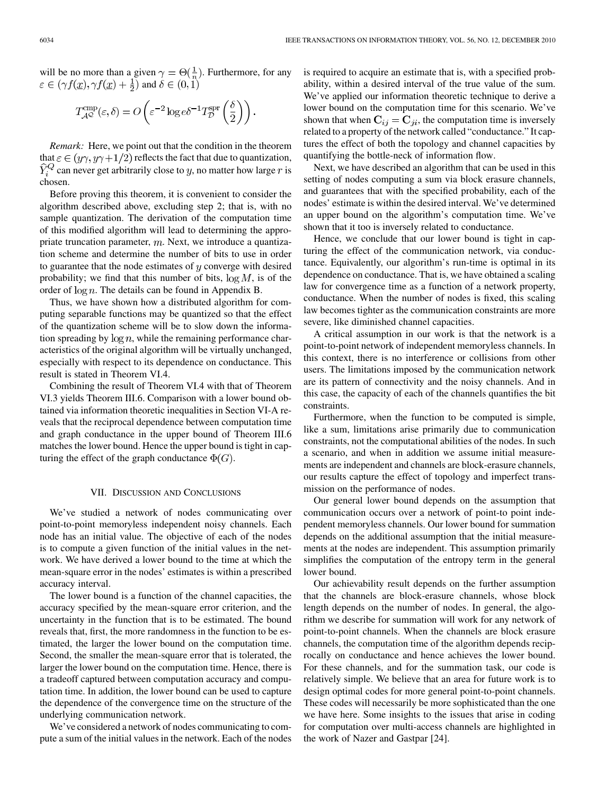will be no more than a given  $\gamma = \Theta(\frac{1}{n})$ . Furthermore, for any  $\varepsilon \in (\gamma f(\underline{x}), \gamma f(\underline{x}) + \frac{1}{2})$  and  $\delta \in (0, 1)$ 

$$
T_{\mathcal{A}^{\mathcal{Q}}}^{\text{cmp}}(\varepsilon,\delta) = O\left(\varepsilon^{-2} \log e \delta^{-1} T_{\mathcal{D}}^{\text{spr}}\left(\frac{\delta}{2}\right)\right)
$$

*Remark:* Here, we point out that the condition in the theorem that  $\epsilon \in (y\gamma, y\gamma + 1/2)$  reflects the fact that due to quantization,  $\hat{Y}_i^Q$  can never get arbitrarily close to y, no matter how large r is chosen.

Before proving this theorem, it is convenient to consider the algorithm described above, excluding step 2; that is, with no sample quantization. The derivation of the computation time of this modified algorithm will lead to determining the appropriate truncation parameter,  $m$ . Next, we introduce a quantization scheme and determine the number of bits to use in order to guarantee that the node estimates of  $\eta$  converge with desired probability; we find that this number of bits,  $\log M$ , is of the order of  $\log n$ . The details can be found in Appendix B.

Thus, we have shown how a distributed algorithm for computing separable functions may be quantized so that the effect of the quantization scheme will be to slow down the information spreading by  $\log n$ , while the remaining performance characteristics of the original algorithm will be virtually unchanged, especially with respect to its dependence on conductance. This result is stated in Theorem VI.4.

Combining the result of Theorem VI.4 with that of Theorem VI.3 yields Theorem III.6. Comparison with a lower bound obtained via information theoretic inequalities in Section VI-A reveals that the reciprocal dependence between computation time and graph conductance in the upper bound of Theorem III.6 matches the lower bound. Hence the upper bound is tight in capturing the effect of the graph conductance  $\Phi(G)$ .

## VII. DISCUSSION AND CONCLUSIONS

We've studied a network of nodes communicating over point-to-point memoryless independent noisy channels. Each node has an initial value. The objective of each of the nodes is to compute a given function of the initial values in the network. We have derived a lower bound to the time at which the mean-square error in the nodes' estimates is within a prescribed accuracy interval.

The lower bound is a function of the channel capacities, the accuracy specified by the mean-square error criterion, and the uncertainty in the function that is to be estimated. The bound reveals that, first, the more randomness in the function to be estimated, the larger the lower bound on the computation time. Second, the smaller the mean-square error that is tolerated, the larger the lower bound on the computation time. Hence, there is a tradeoff captured between computation accuracy and computation time. In addition, the lower bound can be used to capture the dependence of the convergence time on the structure of the underlying communication network.

We've considered a network of nodes communicating to compute a sum of the initial values in the network. Each of the nodes

is required to acquire an estimate that is, with a specified probability, within a desired interval of the true value of the sum. We've applied our information theoretic technique to derive a lower bound on the computation time for this scenario. We've shown that when  $\mathbf{C}_{ij} = \mathbf{C}_{ji}$ , the computation time is inversely related to a property of the network called "conductance." It captures the effect of both the topology and channel capacities by quantifying the bottle-neck of information flow.

Next, we have described an algorithm that can be used in this setting of nodes computing a sum via block erasure channels, and guarantees that with the specified probability, each of the nodes' estimate is within the desired interval. We've determined an upper bound on the algorithm's computation time. We've shown that it too is inversely related to conductance.

Hence, we conclude that our lower bound is tight in capturing the effect of the communication network, via conductance. Equivalently, our algorithm's run-time is optimal in its dependence on conductance. That is, we have obtained a scaling law for convergence time as a function of a network property, conductance. When the number of nodes is fixed, this scaling law becomes tighter as the communication constraints are more severe, like diminished channel capacities.

A critical assumption in our work is that the network is a point-to-point network of independent memoryless channels. In this context, there is no interference or collisions from other users. The limitations imposed by the communication network are its pattern of connectivity and the noisy channels. And in this case, the capacity of each of the channels quantifies the bit constraints.

Furthermore, when the function to be computed is simple, like a sum, limitations arise primarily due to communication constraints, not the computational abilities of the nodes. In such a scenario, and when in addition we assume initial measurements are independent and channels are block-erasure channels, our results capture the effect of topology and imperfect transmission on the performance of nodes.

Our general lower bound depends on the assumption that communication occurs over a network of point-to point independent memoryless channels. Our lower bound for summation depends on the additional assumption that the initial measurements at the nodes are independent. This assumption primarily simplifies the computation of the entropy term in the general lower bound.

Our achievability result depends on the further assumption that the channels are block-erasure channels, whose block length depends on the number of nodes. In general, the algorithm we describe for summation will work for any network of point-to-point channels. When the channels are block erasure channels, the computation time of the algorithm depends reciprocally on conductance and hence achieves the lower bound. For these channels, and for the summation task, our code is relatively simple. We believe that an area for future work is to design optimal codes for more general point-to-point channels. These codes will necessarily be more sophisticated than the one we have here. Some insights to the issues that arise in coding for computation over multi-access channels are highlighted in the work of Nazer and Gastpar [24].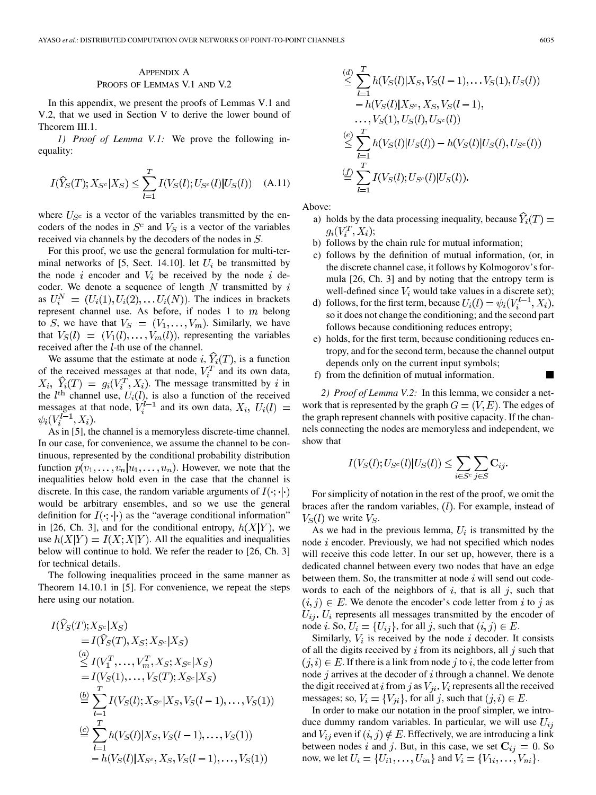# APPENDIX A PROOFS OF LEMMAS V.1 AND V.2

In this appendix, we present the proofs of Lemmas V.1 and V.2, that we used in Section V to derive the lower bound of Theorem III.1.

*1) Proof of Lemma V.1:* We prove the following inequality:

$$
I(\widehat{Y}_{S}(T); X_{S^c}|X_S) \le \sum_{l=1}^T I(V_S(l); U_{S^c}(l)|U_S(l)) \quad (A.11)
$$

where  $U_{S^c}$  is a vector of the variables transmitted by the encoders of the nodes in  $S<sup>c</sup>$  and  $V<sub>S</sub>$  is a vector of the variables received via channels by the decoders of the nodes in  $S$ .

For this proof, we use the general formulation for multi-terminal networks of [5, Sect. 14.10]. let  $U_i$  be transmitted by the node  $i$  encoder and  $V_i$  be received by the node  $i$  decoder. We denote a sequence of length  $N$  transmitted by  $i$ as  $U_i^N = (U_i(1), U_i(2), \ldots, U_i(N))$ . The indices in brackets represent channel use. As before, if nodes  $1$  to  $m$  belong to S, we have that  $V_S = (V_1, \ldots, V_m)$ . Similarly, we have that  $V_S(l) = (V_1(l), \ldots, V_m(l))$ , representing the variables received after the  $l$ -th use of the channel.

We assume that the estimate at node i,  $\hat{Y}_i(T)$ , is a function of the received messages at that node,  $V_i^T$  and its own data, . The message transmitted by  $i$  in the  $l<sup>th</sup>$  channel use,  $U<sub>i</sub>(l)$ , is also a function of the received messages at that node,  $V_i^{t-1}$  and its own data, .

As in [5], the channel is a memoryless discrete-time channel. In our case, for convenience, we assume the channel to be continuous, represented by the conditional probability distribution function  $p(v_1, \ldots, v_n | u_1, \ldots, u_n)$ . However, we note that the inequalities below hold even in the case that the channel is discrete. In this case, the random variable arguments of  $I(\cdot; \cdot | \cdot)$ would be arbitrary ensembles, and so we use the general definition for  $I(\cdot; \cdot| \cdot)$  as the "average conditional information" in [26, Ch. 3], and for the conditional entropy,  $h(X|Y)$ , we use  $h(X|Y) = I(X; X|Y)$ . All the equalities and inequalities below will continue to hold. We refer the reader to [26, Ch. 3] for technical details.

The following inequalities proceed in the same manner as Theorem 14.10.1 in [5]. For convenience, we repeat the steps here using our notation.

$$
I(Y_S(T); X_{S^c}|X_S)
$$
  
=  $I(\hat{Y}_S(T), X_S; X_{S^c}|X_S)$   

$$
\leq I(V_1^T, \dots, V_m^T, X_S; X_{S^c}|X_S)
$$
  
=  $I(V_S(1), \dots, V_S(T); X_{S^c}|X_S)$   

$$
\stackrel{\text{(b)}}{=} \sum_{l=1}^T I(V_S(l); X_{S^c}|X_S, V_S(l-1), \dots, V_S(1))
$$
  

$$
\stackrel{\text{(c)}}{=} \sum_{l=1}^T h(V_S(l)|X_S, V_S(l-1), \dots, V_S(1))
$$
  
-  $h(V_S(l)|X_{S^c}, X_S, V_S(l-1), \dots, V_S(1))$ 

$$
\stackrel{(d)}{\leq} \sum_{l=1}^{T} h(V_S(l)|X_S, V_S(l-1), \dots, V_S(1), U_S(l))
$$
\n
$$
-h(V_S(l)|X_{S^c}, X_S, V_S(l-1), \dots, V_S(1), U_S(l), U_{S^c}(l))
$$
\n
$$
\stackrel{(e)}{\leq} \sum_{l=1}^{T} h(V_S(l)|U_S(l)) - h(V_S(l)|U_S(l), U_{S^c}(l))
$$
\n
$$
\stackrel{(f)}{=} \sum_{l=1}^{T} I(V_S(l); U_{S^c}(l)|U_S(l)).
$$

Above:

- a) holds by the data processing inequality, because  $\hat{Y}_i(T)$  =  $g_i(V_i^T, X_i);$
- b) follows by the chain rule for mutual information;
- c) follows by the definition of mutual information, (or, in the discrete channel case, it follows by Kolmogorov's formula [26, Ch. 3] and by noting that the entropy term is well-defined since  $V_i$  would take values in a discrete set);
- d) follows, for the first term, because  $U_i(l) = \psi_i(V_i^{l-1}, X_i)$ , so it does not change the conditioning; and the second part follows because conditioning reduces entropy;
- e) holds, for the first term, because conditioning reduces entropy, and for the second term, because the channel output depends only on the current input symbols;
- f) from the definition of mutual information.

*2) Proof of Lemma V.2:* In this lemma, we consider a network that is represented by the graph  $G = (V, E)$ . The edges of the graph represent channels with positive capacity. If the channels connecting the nodes are memoryless and independent, we show that

$$
I(V_S(l); U_{S^c}(l) | U_S(l)) \le \sum_{i \in S^c} \sum_{j \in S} \mathbf{C}_{ij}.
$$

For simplicity of notation in the rest of the proof, we omit the braces after the random variables,  $(l)$ . For example, instead of  $V_S(l)$  we write  $V_S$ .

As we had in the previous lemma,  $U_i$  is transmitted by the node  $i$  encoder. Previously, we had not specified which nodes will receive this code letter. In our set up, however, there is a dedicated channel between every two nodes that have an edge between them. So, the transmitter at node  $i$  will send out codewords to each of the neighbors of  $i$ , that is all  $j$ , such that  $(i, j) \in E$ . We denote the encoder's code letter from i to j as  $U_{ij}$ .  $U_i$  represents all messages transmitted by the encoder of node *i*. So,  $U_i = \{U_{ij}\}\$ , for all *j*, such that  $(i, j) \in E$ .

Similarly,  $V_i$  is received by the node i decoder. It consists of all the digits received by  $i$  from its neighbors, all  $j$  such that  $(j, i) \in E$ . If there is a link from node j to i, the code letter from node  $j$  arrives at the decoder of  $i$  through a channel. We denote the digit received at i from j as  $V_{ji}$ .  $V_i$  represents all the received messages; so,  $V_i = \{V_{ji}\}\$ , for all j, such that  $(j, i) \in E$ .

In order to make our notation in the proof simpler, we introduce dummy random variables. In particular, we will use  $U_{ij}$ and  $V_{ij}$  even if  $(i, j) \notin E$ . Effectively, we are introducing a link between nodes i and j. But, in this case, we set  $C_{ij} = 0$ . So now, we let  $U_i = \{U_{i1}, \ldots, U_{in}\}\$  and  $V_i = \{V_{1i}, \ldots, V_{ni}\}.$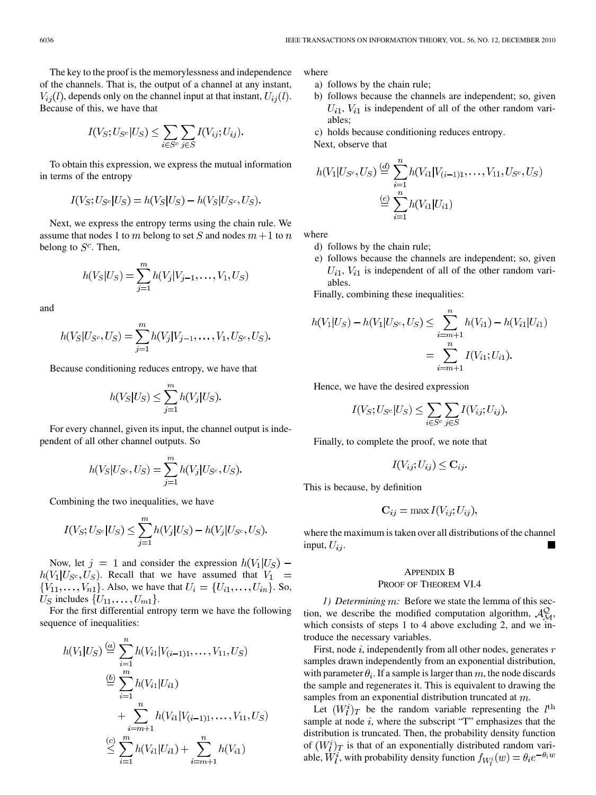The key to the proof is the memorylessness and independence of the channels. That is, the output of a channel at any instant,  $V_{ij}(l)$ , depends only on the channel input at that instant,  $U_{ij}(l)$ . Because of this, we have that

$$
I(V_S; U_{S^c} | U_S) \le \sum_{i \in S^c} \sum_{j \in S} I(V_{ij}; U_{ij}).
$$

To obtain this expression, we express the mutual information in terms of the entropy

$$
I(V_S; U_{S^c} | U_S) = h(V_S | U_S) - h(V_S | U_{S^c}, U_S).
$$

Next, we express the entropy terms using the chain rule. We assume that nodes 1 to m belong to set S and nodes  $m+1$  to n belong to  $S<sup>c</sup>$ . Then,

$$
h(V_S|U_S) = \sum_{j=1}^{m} h(V_j|V_{j-1}, \dots, V_1, U_S)
$$

and

$$
h(V_S|U_{S^c}, U_S) = \sum_{j=1}^m h(V_j|V_{j-1}, \dots, V_1, U_{S^c}, U_S)
$$

Because conditioning reduces entropy, we have that

$$
h(V_S|U_S) \le \sum_{j=1}^m h(V_j|U_S).
$$

For every channel, given its input, the channel output is independent of all other channel outputs. So

$$
h(V_S|U_{S^c}, U_S) = \sum_{j=1}^m h(V_j|U_{S^c}, U_S)
$$

Combining the two inequalities, we have

$$
I(V_S; U_{S^c} | U_S) \le \sum_{j=1}^m h(V_j | U_S) - h(V_j | U_{S^c}, U_S).
$$

Now, let  $j = 1$  and consider the expression  $h(V_1 | U_S)$  –  $h(V_1|U_{S^c},U_S)$ . Recall that we have assumed that  $V_1 =$  ${V_{11}, \ldots, V_{n1}}$ . Also, we have that  $U_i = {U_{i1}, \ldots, U_{in}}$ . So,  $U_S$  includes  $\{U_{11}, \ldots, U_{m1}\}.$ 

For the first differential entropy term we have the following sequence of inequalities:

$$
h(V_1|U_S) \stackrel{(a)}{=} \sum_{i=1}^n h(V_{i1}|V_{(i-1)1}, \dots, V_{11}, U_S)
$$
  
\n
$$
\stackrel{(b)}{=} \sum_{i=1}^m h(V_{i1}|U_{i1})
$$
  
\n
$$
+ \sum_{i=m+1}^n h(V_{i1}|V_{(i-1)1}, \dots, V_{11}, U_S)
$$
  
\n
$$
\stackrel{(c)}{\leq} \sum_{i=1}^m h(V_{i1}|U_{i1}) + \sum_{i=m+1}^n h(V_{i1})
$$

where

- a) follows by the chain rule;
- b) follows because the channels are independent; so, given  $U_{i1}$ ,  $V_{i1}$  is independent of all of the other random variables;
- c) holds because conditioning reduces entropy.

Next, observe that

$$
h(V_1|U_{S^c}, U_S) \stackrel{\text{(d)}}{=} \sum_{i=1}^n h(V_{i1}|V_{(i-1)1}, \dots, V_{11}, U_{S^c}, U_S)
$$

$$
\stackrel{\text{(e)}}{=} \sum_{i=1}^n h(V_{i1}|U_{i1})
$$

where

- d) follows by the chain rule;
- e) follows because the channels are independent; so, given  $U_{i1}$ ,  $V_{i1}$  is independent of all of the other random variables.

Finally, combining these inequalities:

$$
h(V_1|U_S) - h(V_1|U_{S^c}, U_S) \le \sum_{i=m+1}^n h(V_{i1}) - h(V_{i1}|U_{i1})
$$
  
= 
$$
\sum_{i=m+1}^n I(V_{i1}; U_{i1}).
$$

Hence, we have the desired expression

$$
I(V_S; U_{S^c} | U_S) \le \sum_{i \in S^c} \sum_{j \in S} I(V_{ij}; U_{ij}).
$$

Finally, to complete the proof, we note that

$$
I(V_{ij}; U_{ij}) \leq \mathbf{C}_{ij}.
$$

This is because, by definition

$$
C_{ij} = \max I(V_{ij}; U_{ij}),
$$

where the maximum is taken over all distributions of the channel input,  $U_{ij}$ .

# APPENDIX B PROOF OF THEOREM VI.4

*1) Determining m:* Before we state the lemma of this section, we describe the modified computation algorithm,  $\mathcal{A}_{\mathcal{M}}^{\mathcal{Q}}$ , which consists of steps 1 to 4 above excluding 2, and we introduce the necessary variables.

First, node  $i$ , independently from all other nodes, generates  $r$ samples drawn independently from an exponential distribution, with parameter  $\theta_i$ . If a sample is larger than m, the node discards the sample and regenerates it. This is equivalent to drawing the samples from an exponential distribution truncated at  $m$ .

Let  $(W_l^i)_T$  be the random variable representing the  $l^{\text{th}}$ sample at node  $i$ , where the subscript "T" emphasizes that the distribution is truncated. Then, the probability density function of  $(W_l^i)_T$  is that of an exponentially distributed random variable,  $W_l^i$  , with probability density function  $f_{W_l^i}(w) = \theta_i e^{-\theta_i w}$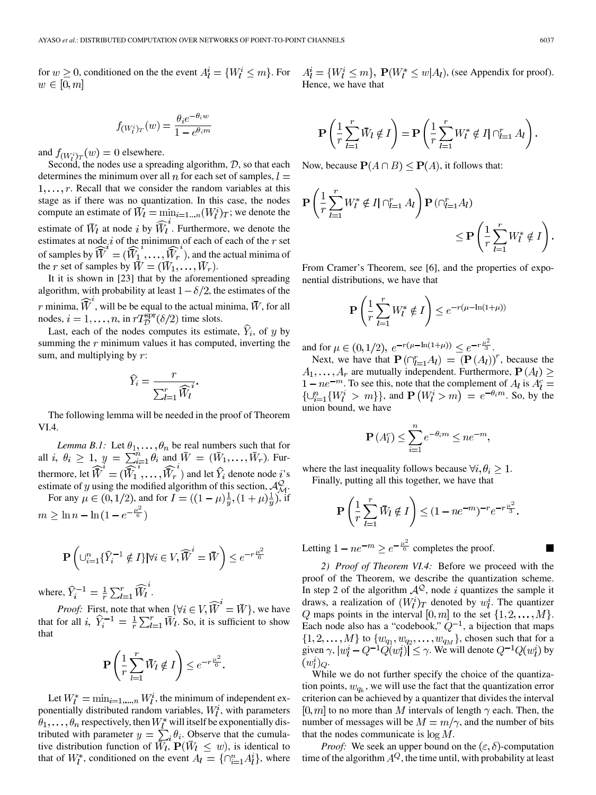$w \in [0, m]$ 

$$
f_{(W_l^i)_T}(w) = \frac{\theta_i e^{-\theta_i w}}{1 - e^{\theta_i m}}
$$

and  $f_{(W_l^i)_T}(w) = 0$  elsewhere.

Second, the nodes use a spreading algorithm,  $D$ , so that each determines the minimum over all *n* for each set of samples,  $l =$  $1, \ldots, r$ . Recall that we consider the random variables at this stage as if there was no quantization. In this case, the nodes compute an estimate of  $\overline{W}_l = \min_{i=1...n} (W_l^i)_T$ ; we denote the estimate of  $\bar{W}_l$  at node i by  $\widehat{\bar{W}}_l^i$ . Furthermore, we denote the estimates at node *i* of the minimum of each of each of the r set of samples by  $\widehat{\overline{W}}^i = (\widehat{\overline{W}}_1^i, \ldots, \widehat{\overline{W}}_r^i)$ , and the actual minima of the r set of samples by  $\overline{W} = (\overline{W}_1, \ldots, \overline{W}_r)$ .

It it is shown in [23] that by the aforementioned spreading algorithm, with probability at least  $1 - \delta/2$ , the estimates of the minima,  $W$  , will be be equal to the actual minima,  $W$ , for all nodes,  $i = 1, \ldots, n$ , in  $rT_{\mathcal{D}}^{\text{spr}}(\delta/2)$  time slots.

Last, each of the nodes computes its estimate,  $\hat{Y}_i$ , of y by summing the  $r$  minimum values it has computed, inverting the sum, and multiplying by  $r$ :

$$
\widehat{Y}_i = \frac{r}{\sum_{l=1}^r \widehat{\bar{W}_l}^i}
$$

The following lemma will be needed in the proof of Theorem VI.4.

*Lemma B.1:* Let  $\theta_1, \ldots, \theta_n$  be real numbers such that for all i,  $\theta_i \geq 1$ ,  $y = \sum_{i=1}^n \theta_i$  and  $W = (W_1, \ldots, W_r)$ . Furthermore, let  $\widehat{\overline{W}}^i = (\overline{\widehat{W}}_1^i, \dots, \widehat{\overline{W}}_r^i)$  and let  $\widehat{Y}_i$  denote node  $i$ 's estimate of y using the modified algorithm of this section,  $\mathcal{A}_{\mathcal{M}}^{\mathcal{Q}}$ .

For any  $\mu \in (0, 1/2)$ , and for  $I = ((1 - \mu)\frac{1}{n}, (1 + \mu)\frac{1}{n})$ , if  $m \geq \ln n - \ln(1 - e^{-\frac{\mu^2}{6}})$ 

$$
\mathbf{P}\left(\cup_{i=1}^n \{\widehat{Y}_i^{-1} \notin I\} | \forall i \in V, \widehat{\overline{W}}^i = \overline{W}\right) \leq e^{-r\frac{\mu^2}{6}}
$$

where,  $\widehat{Y}_i^{-1} = \frac{1}{n} \sum_{l=1}^r \widehat{\overline{W}}_l^i$ .

*Proof:* First, note that when  $\{\forall i \in V, \overline{W} = \overline{W}\}$ , we have that for all i,  $Y_i^{-1} = \frac{1}{r} \sum_{l=1}^r W_l$ . So, it is sufficient to show that

$$
\mathbf{P}\left(\frac{1}{r}\sum_{l=1}^r \bar{W}_l \notin I\right) \leq e^{-r\frac{\mu^2}{6}}
$$

Let  $W_l^* = \min_{i=1,\dots,n} W_l^i$ , the minimum of independent exponentially distributed random variables,  $W_l^i$ , with parameters  $\theta_1,\ldots,\theta_n$  respectively, then  $W_l^*$  will itself be exponentially distributed with parameter  $y = \sum_i \theta_i$ . Observe that the cumulative distribution function of  $W_l$ ,  $P(W_l \leq w)$ , is identical to that of  $W_l^*$ , conditioned on the event  $A_l = \{ \bigcap_{i=1}^n A_l^i \}$ , where

for  $w \ge 0$ , conditioned on the the event  $A_l^i = \{W_l^i \le m\}$ . For  $A_l^i = \{W_l^i \le m\}$ ,  $\mathbf{P}(W_l^* \le w|A_l)$ , (see Appendix for proof). Hence, we have that

$$
\mathbf{P}\left(\frac{1}{r}\sum_{l=1}^r \bar{W}_l \notin I\right) = \mathbf{P}\left(\frac{1}{r}\sum_{l=1}^r W_l^* \notin I | \bigcap_{l=1}^r A_l\right).
$$

Now, because  $P(A \cap B) \leq P(A)$ , it follows that:

$$
\mathbf{P}\left(\frac{1}{r}\sum_{l=1}^r W_l^* \notin I | \bigcap_{l=1}^r A_l\right) \mathbf{P}\left(\bigcap_{l=1}^r A_l\right) \leq \mathbf{P}\left(\frac{1}{r}\sum_{l=1}^r W_l^* \notin I\right).
$$

From Cramer's Theorem, see [6], and the properties of exponential distributions, we have that

$$
\mathbf{P}\left(\frac{1}{r}\sum_{l=1}^r W_l^* \notin I\right) \le e^{-r(\mu - \ln(1+\mu))}
$$

and for  $\mu \in (0, 1/2)$ ,  $e^{-r(\mu - \ln(1+\mu))} \leq e^{-r\frac{\mu^2}{3}}$ .

Next, we have that  $\mathbf{P}(\bigcap_{l=1}^{r} A_l) = \mathbf{P}(A_l)^r$ , because the  $A_1, \ldots, A_r$  are mutually independent. Furthermore,  $P(A_l) \geq$  $1 - ne^{-m}$ . To see this, note that the complement of  $A_l$  is  $A_l^c =$  $\{\cup_{i=1}^n \{W_i^i > m\}\}\$ , and  $\mathbf{P}(W_i^i > m) = e^{-\theta_i m}$ . So, by the union bound, we have

$$
\mathbf{P}\left(A_{l}^{c}\right) \leq \sum_{i=1}^{n} e^{-\theta_{i} m} \leq n e^{-m},
$$

where the last inequality follows because  $\forall i, \theta_i \geq 1$ . Finally, putting all this together, we have that

$$
\mathbf{P}\left(\frac{1}{r}\sum_{l=1}^{r}\bar{W}_{l} \notin I\right) \le (1 - ne^{-m})^{-r}e^{-r\frac{\mu^{2}}{3}}.
$$

Letting  $1 - ne^{-m} > e^{-\frac{\mu^2}{6}}$  completes the proof.

*2) Proof of Theorem VI.4:* Before we proceed with the proof of the Theorem, we describe the quantization scheme. In step 2 of the algorithm  $A^{\mathcal{Q}}$ , node *i* quantizes the sample it draws, a realization of  $(W_l^i)$  denoted by  $w_l^i$ . The quantizer Q maps points in the interval [0, m] to the set  $\{1, 2, \ldots, M\}$ . Each node also has a "codebook,"  $Q^{-1}$ , a bijection that maps  $\{1, 2, \ldots, M\}$  to  $\{w_{q_1}, w_{q_2}, \ldots, w_{q_M}\}$ , chosen such that for a given  $\gamma$ ,  $|w_i^i - Q^{-1}Q(w_i^i)| \leq \gamma$ . We will denote  $Q^{-1}Q(w_i^i)$  by  $(w_l^i)_{Q}.$ 

While we do not further specify the choice of the quantization points,  $w_{q_k}$ , we will use the fact that the quantization error criterion can be achieved by a quantizer that divides the interval  $[0, m]$  to no more than M intervals of length  $\gamma$  each. Then, the number of messages will be  $M = m/\gamma$ , and the number of bits that the nodes communicate is  $\log M$ .

*Proof:* We seek an upper bound on the  $(\varepsilon, \delta)$ -computation time of the algorithm  $A^Q$ , the time until, with probability at least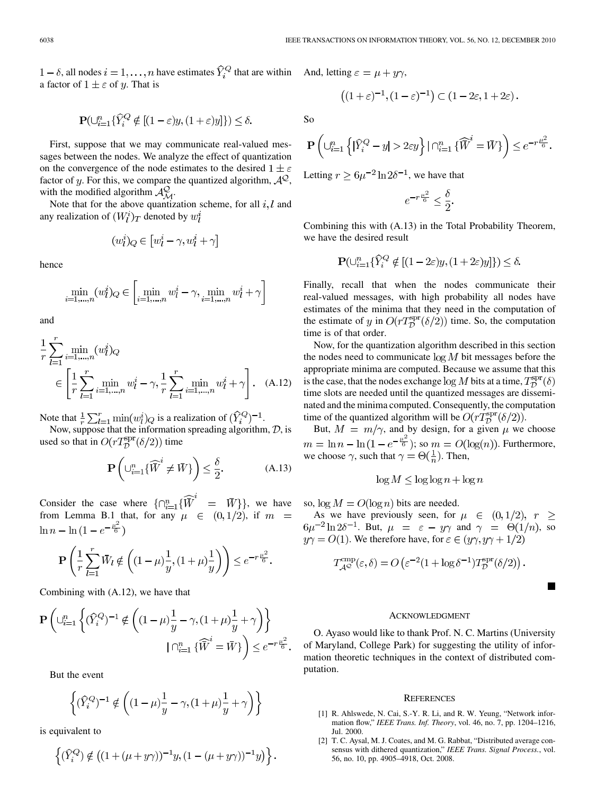$1-\delta$ , all nodes  $i=1,\ldots,n$  have estimates  $\widehat{Y}_i^Q$  that are within a factor of  $1 \pm \varepsilon$  of y. That is

$$
\mathbf{P}(\cup_{i=1}^n \{\hat{Y}_i^Q \notin [(1-\varepsilon)y, (1+\varepsilon)y]\}) \le \delta.
$$

First, suppose that we may communicate real-valued messages between the nodes. We analyze the effect of quantization on the convergence of the node estimates to the desired  $1 \pm \varepsilon$ factor of y. For this, we compare the quantized algorithm,  $\mathcal{A}^{\mathcal{Q}}$ , with the modified algorithm  $\mathcal{A}_{\mathcal{M}}^{\mathcal{Q}}$ .

Note that for the above quantization scheme, for all  $i, l$  and any realization of  $(W_l^i)_T$  denoted by  $w_l^i$ 

$$
(w_l^i)_Q \in \left[w_l^i - \gamma, w_l^i + \gamma\right]
$$

hence

$$
\min_{i=1,...,n} (w_l^i)_Q \in \left[ \min_{i=1,...,n} w_l^i - \gamma, \min_{i=1,...,n} w_l^i + \gamma \right]
$$

and

$$
\frac{1}{r} \sum_{l=1}^{r} \min_{i=1,\dots,n} (w_l^i)_Q
$$
\n
$$
\in \left[ \frac{1}{r} \sum_{l=1}^{r} \min_{i=1,\dots,n} w_l^i - \gamma, \frac{1}{r} \sum_{l=1}^{r} \min_{i=1,\dots,n} w_l^i + \gamma \right].
$$
\n(A.12)

Note that  $\frac{1}{r} \sum_{l=1}^r \min(w_l^i)_Q$  is a realization of  $(\widehat{Y}_i^Q)^{-1}$ .

Now, suppose that the information spreading algorithm,  $D$ , is used so that in  $O(rT^{\text{spr}}_{\mathcal{D}}(\delta/2))$  time

$$
\mathbf{P}\left(\cup_{i=1}^{n} \{\widehat{\overline{W}}^{i} \neq \overline{W}\}\right) \leq \frac{\delta}{2}.\tag{A.13}
$$

Consider the case where  $\{\bigcap_{i=1}^n \{\widehat{\overline{W}}^i = \overline{W}\}\}\)$ , we have from Lemma B.1 that, for any  $\mu \in (0, 1/2)$ , if  $m = \ln n - \ln(1 - e^{-\frac{\mu^2}{6}})$ 

$$
\mathbf{P}\left(\frac{1}{r}\sum_{l=1}^r \bar{W}_l \notin \left((1-\mu)\frac{1}{y}, (1+\mu)\frac{1}{y}\right)\right) \leq e^{-r\frac{\mu^2}{6}}.
$$

Combining with (A.12), we have that

$$
\mathbf{P}\left(\cup_{i=1}^n \left\{ (\widehat{Y}_i^Q)^{-1} \notin \left( (1-\mu)\frac{1}{y} - \gamma, (1+\mu)\frac{1}{y} + \gamma \right) \right\}
$$

$$
|\bigcap_{i=1}^n \{\widehat{\overline{W}}^i = \overline{W}\} \right) \le e^{-r\frac{\mu^2}{6}}.
$$

But the event

$$
\left\{ (\widehat{Y}_i^Q)^{-1} \notin \left( (1-\mu)\frac{1}{y} - \gamma, (1+\mu)\frac{1}{y} + \gamma \right) \right\}
$$

is equivalent to

$$
\left\{(\widehat{Y}_i^Q) \notin \left( (1 + (\mu + y\gamma))^{-1}y, (1 - (\mu + y\gamma))^{-1}y \right) \right\}.
$$

And, letting  $\varepsilon = \mu + y\gamma$ ,

$$
((1+\varepsilon)^{-1},(1-\varepsilon)^{-1})\subset (1-2\varepsilon,1+2\varepsilon).
$$

So

$$
\mathbf{P}\left(\cup_{i=1}^n \left\{ |\widehat{Y}_i^Q - y| > 2\epsilon y \right\} | \cap_{i=1}^n \{\widehat{\overline{W}}^i = \overline{W}\}\right) \le e^{-r\frac{\mu^2}{6}}.
$$

Letting  $r \ge 6\mu^{-2} \ln 2\delta^{-1}$ , we have that

$$
e^{-r\frac{\mu^2}{6}} \le \frac{\delta}{2}.
$$

Combining this with (A.13) in the Total Probability Theorem, we have the desired result

$$
\mathbf{P}(\cup_{i=1}^n \{\widehat{Y}_i^Q \notin [(1-2\varepsilon)y, (1+2\varepsilon)y]\}) \le \delta.
$$

Finally, recall that when the nodes communicate their real-valued messages, with high probability all nodes have estimates of the minima that they need in the computation of the estimate of y in  $O(rT_{\mathcal{D}}^{\text{spr}}(\delta/2))$  time. So, the computation time is of that order.

Now, for the quantization algorithm described in this section the nodes need to communicate  $\log M$  bit messages before the appropriate minima are computed. Because we assume that this is the case, that the nodes exchange  $\log M$  bits at a time,  $T^{\text{spr}}_{\mathcal{D}}(\delta)$ time slots are needed until the quantized messages are disseminated and the minima computed. Consequently, the computation time of the quantized algorithm will be  $O(rT_{\mathcal{D}}^{\text{spr}}(\delta/2)).$ 

But,  $M = m/\gamma$ , and by design, for a given  $\mu$  we choose  $m = \ln n - \ln(1 - e^{-\frac{\mu^2}{6}})$ ; so  $m = O(\log(n))$ . Furthermore, we choose  $\gamma$ , such that  $\gamma = \Theta(\frac{1}{n})$ . Then,

$$
\log M \le \log \log n + \log n
$$

so,  $\log M = O(\log n)$  bits are needed.

As we have previously seen, for  $\mu \in (0,1/2)$ ,  $r \geq$  $6\mu^{-2} \ln 2\delta^{-1}$ . But,  $\mu = \varepsilon - y\gamma$  and  $\gamma = \Theta(1/n)$ , so  $y\gamma = O(1)$ . We therefore have, for  $\varepsilon \in (y\gamma, y\gamma + 1/2)$ 

$$
T_{\mathcal{A}^{\mathcal{Q}}}^{\text{cmp}}(\varepsilon,\delta) = O\left(\varepsilon^{-2} (1 + \log \delta^{-1}) T_{\mathcal{D}}^{\text{spr}}(\delta/2)\right).
$$

#### ACKNOWLEDGMENT

O. Ayaso would like to thank Prof. N. C. Martins (University of Maryland, College Park) for suggesting the utility of information theoretic techniques in the context of distributed computation.

#### **REFERENCES**

- [1] R. Ahlswede, N. Cai, S.-Y. R. Li, and R. W. Yeung, "Network information flow," *IEEE Trans. Inf. Theory*, vol. 46, no. 7, pp. 1204–1216, Jul. 2000.
- [2] T. C. Aysal, M. J. Coates, and M. G. Rabbat, "Distributed average consensus with dithered quantization," *IEEE Trans. Signal Process.*, vol. 56, no. 10, pp. 4905–4918, Oct. 2008.